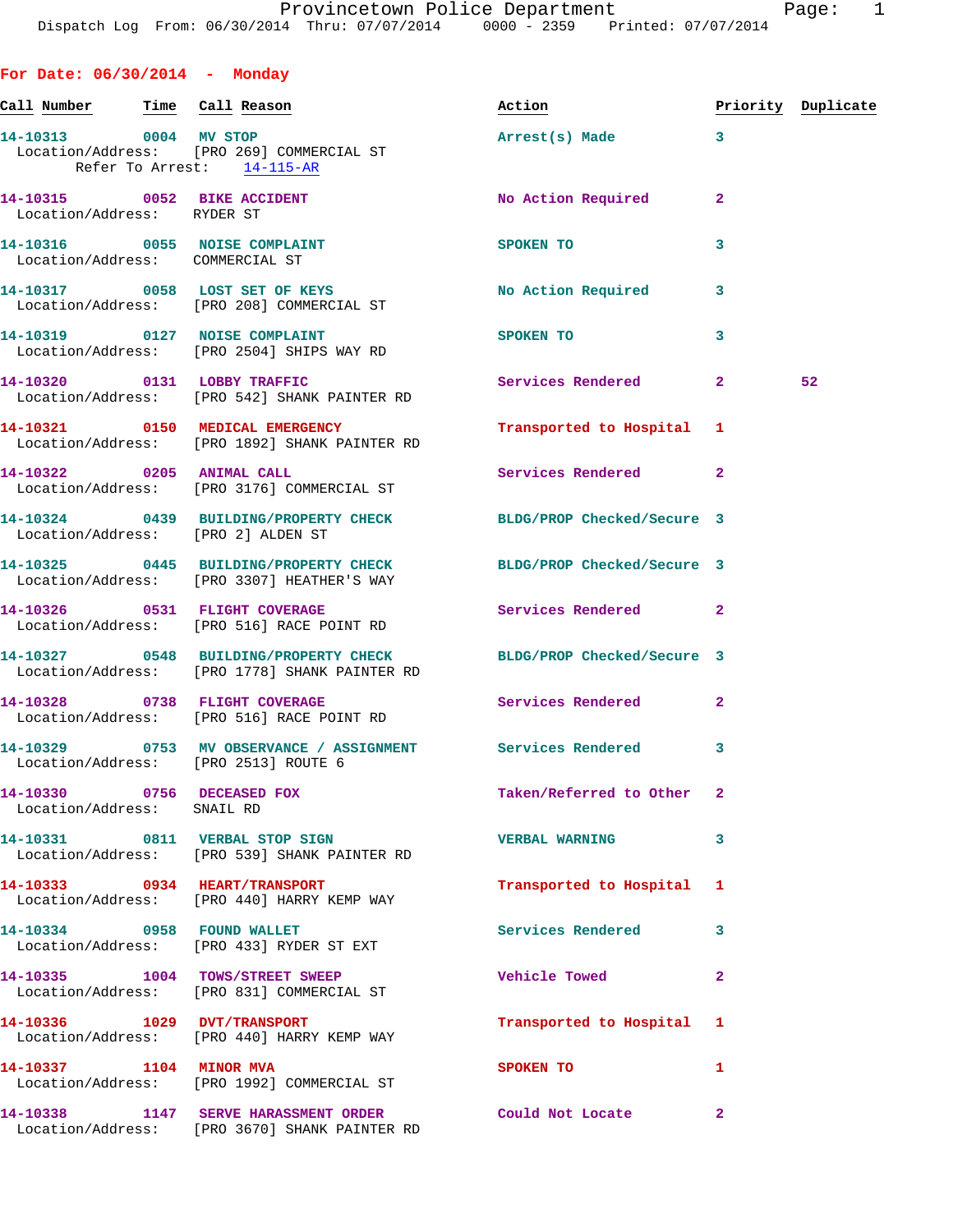**For Date: 06/30/2014 - Monday Call Number Time Call Reason Action Priority Duplicate 14-10313 0004 MV STOP Arrest(s) Made 3**  Location/Address: [PRO 269] COMMERCIAL ST Refer To Arrest: 14-115-AR **14-10315 0052 BIKE ACCIDENT No Action Required 2**  Location/Address: RYDER ST **14-10316 0055 NOISE COMPLAINT SPOKEN TO 3**  Location/Address: COMMERCIAL ST 14-10317 0058 LOST SET OF KEYS No Action Required 3 Location/Address: [PRO 208] COMMERCIAL ST **14-10319 0127 NOISE COMPLAINT SPOKEN TO 3**  Location/Address: [PRO 2504] SHIPS WAY RD **14-10320 0131 LOBBY TRAFFIC Services Rendered 2 52**  Location/Address: [PRO 542] SHANK PAINTER RD **14-10321 0150 MEDICAL EMERGENCY Transported to Hospital 1**  Location/Address: [PRO 1892] SHANK PAINTER RD **14-10322 0205 ANIMAL CALL Services Rendered 2**  Location/Address: [PRO 3176] COMMERCIAL ST **14-10324 0439 BUILDING/PROPERTY CHECK BLDG/PROP Checked/Secure 3**  Location/Address: [PRO 2] ALDEN ST **14-10325 0445 BUILDING/PROPERTY CHECK BLDG/PROP Checked/Secure 3**  Location/Address: [PRO 3307] HEATHER'S WAY **14-10326 0531 FLIGHT COVERAGE Services Rendered 2**  Location/Address: [PRO 516] RACE POINT RD **14-10327 0548 BUILDING/PROPERTY CHECK BLDG/PROP Checked/Secure 3**  Location/Address: [PRO 1778] SHANK PAINTER RD **14-10328 0738 FLIGHT COVERAGE Services Rendered 2**  Location/Address: [PRO 516] RACE POINT RD **14-10329 0753 MV OBSERVANCE / ASSIGNMENT Services Rendered 3**  Location/Address: [PRO 2513] ROUTE 6 **14-10330 0756 DECEASED FOX Taken/Referred to Other 2**  Location/Address: SNAIL RD **14-10331 0811 VERBAL STOP SIGN VERBAL WARNING 3**  Location/Address: [PRO 539] SHANK PAINTER RD **14-10333 0934 HEART/TRANSPORT Transported to Hospital 1**  Location/Address: [PRO 440] HARRY KEMP WAY 14-10334 0958 FOUND WALLET **Services Rendered** 3 Location/Address: [PRO 433] RYDER ST EXT **14-10335 1004 TOWS/STREET SWEEP Vehicle Towed 2**  Location/Address: [PRO 831] COMMERCIAL ST **14-10336 1029 DVT/TRANSPORT Transported to Hospital 1**  Location/Address: [PRO 440] HARRY KEMP WAY **14-10337 1104 MINOR MVA SPOKEN TO** 1 Location/Address: [PRO 1992] COMMERCIAL ST **14-10338 1147 SERVE HARASSMENT ORDER Could Not Locate 2** 

Location/Address: [PRO 3670] SHANK PAINTER RD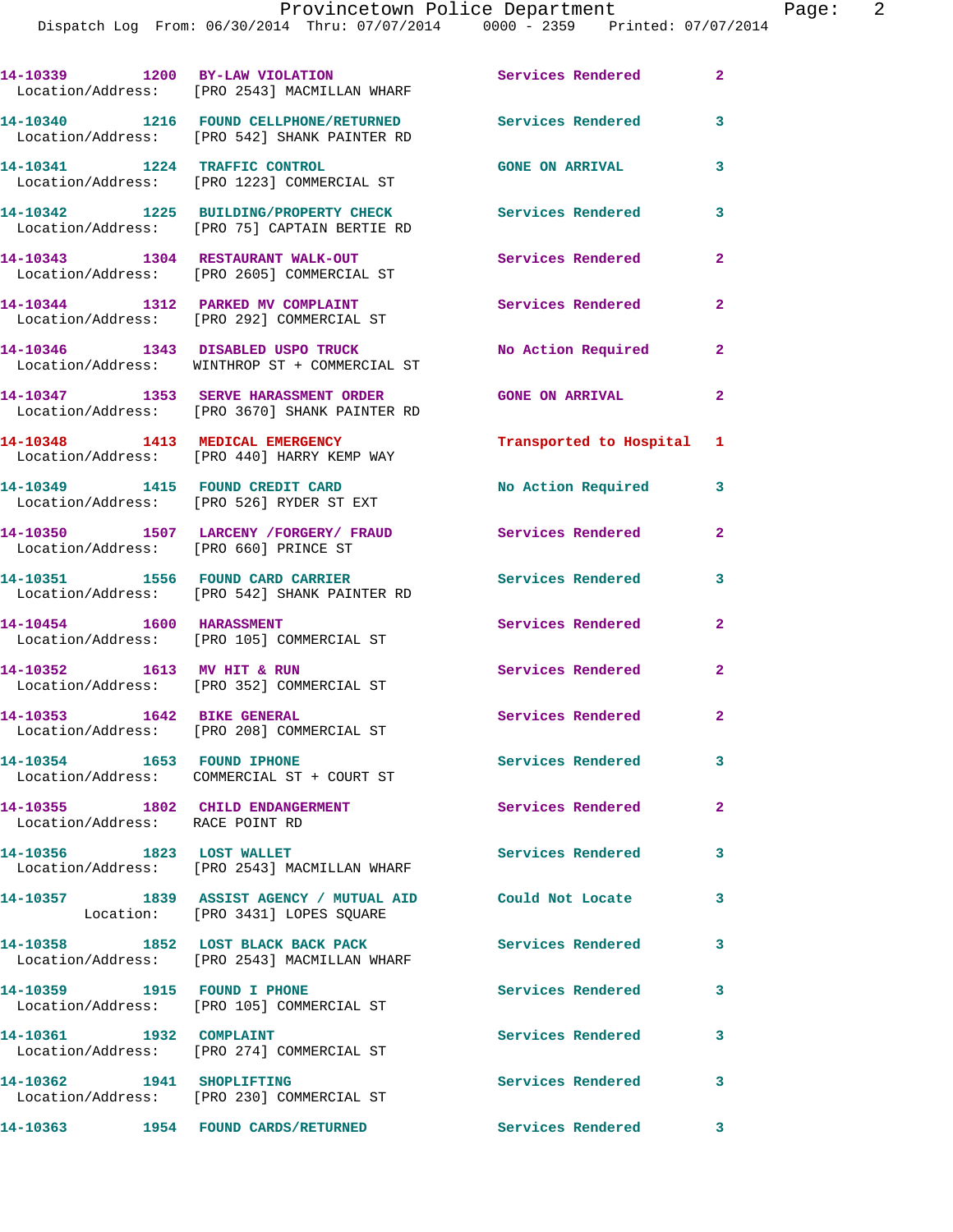|                                       | 14-10339 1200 BY-LAW VIOLATION<br>Location/Address: [PRO 2543] MACMILLAN WHARF                 | Services Rendered 2      |                            |
|---------------------------------------|------------------------------------------------------------------------------------------------|--------------------------|----------------------------|
|                                       | 14-10340 1216 FOUND CELLPHONE/RETURNED<br>Location/Address: [PRO 542] SHANK PAINTER RD         | <b>Services Rendered</b> | 3                          |
| 14-10341 1224 TRAFFIC CONTROL         | Location/Address: [PRO 1223] COMMERCIAL ST                                                     | <b>GONE ON ARRIVAL</b>   | 3                          |
|                                       | 14-10342 1225 BUILDING/PROPERTY CHECK<br>Location/Address: [PRO 75] CAPTAIN BERTIE RD          | <b>Services Rendered</b> | 3                          |
|                                       | 14-10343 1304 RESTAURANT WALK-OUT<br>Location/Address: [PRO 2605] COMMERCIAL ST                | Services Rendered        | $\mathbf{2}$               |
|                                       | 14-10344 1312 PARKED MV COMPLAINT<br>Location/Address: [PRO 292] COMMERCIAL ST                 | Services Rendered        | $\mathbf{2}$               |
|                                       | 14-10346 1343 DISABLED USPO TRUCK<br>Location/Address: WINTHROP ST + COMMERCIAL ST             | No Action Required       | $\mathbf{2}$               |
|                                       | 14-10347 1353 SERVE HARASSMENT ORDER<br>Location/Address: [PRO 3670] SHANK PAINTER RD          | <b>GONE ON ARRIVAL</b>   | $\overline{2}$             |
|                                       | 14-10348 1413 MEDICAL EMERGENCY<br>Location/Address: [PRO 440] HARRY KEMP WAY                  | Transported to Hospital  | 1                          |
|                                       | 14-10349 1415 FOUND CREDIT CARD<br>Location/Address: [PRO 526] RYDER ST EXT                    | No Action Required       | 3                          |
| Location/Address: [PRO 660] PRINCE ST | 14-10350 1507 LARCENY /FORGERY/ FRAUD                                                          | Services Rendered        | $\mathbf{2}$               |
| 14-10351 1556 FOUND CARD CARRIER      | Location/Address: [PRO 542] SHANK PAINTER RD                                                   | Services Rendered        | $\mathbf{3}$               |
|                                       | 14-10454 1600 HARASSMENT<br>Location/Address: [PRO 105] COMMERCIAL ST                          | Services Rendered        | 2                          |
| 14-10352 1613 MV HIT & RUN            | Location/Address: [PRO 352] COMMERCIAL ST                                                      | Services Rendered        | $\overline{2}$             |
|                                       | 14-10353 1642 BIKE GENERAL<br>Location/Address: [PRO 208] COMMERCIAL ST                        | <b>Services Rendered</b> | $\overline{\phantom{0}}$ 2 |
| 14-10354 1653 FOUND IPHONE            | Location/Address: COMMERCIAL ST + COURT ST                                                     | Services Rendered        | 3                          |
| Location/Address: RACE POINT RD       | 14-10355 1802 CHILD ENDANGERMENT                                                               | Services Rendered        | $\mathbf{2}$               |
| 14-10356 1823 LOST WALLET             | Location/Address: [PRO 2543] MACMILLAN WHARF                                                   | Services Rendered        | $\mathbf{3}$               |
|                                       | 14-10357 1839 ASSIST AGENCY / MUTUAL AID Could Not Locate<br>Location: [PRO 3431] LOPES SQUARE |                          | 3                          |
|                                       | 14-10358 1852 LOST BLACK BACK PACK<br>Location/Address: [PRO 2543] MACMILLAN WHARF             | Services Rendered 3      |                            |
|                                       | 14-10359 1915 FOUND I PHONE<br>Location/Address: [PRO 105] COMMERCIAL ST                       | Services Rendered        | 3                          |
| 14-10361 1932 COMPLAINT               | Location/Address: [PRO 274] COMMERCIAL ST                                                      | Services Rendered 3      |                            |
| 14-10362 1941 SHOPLIFTING             | Location/Address: [PRO 230] COMMERCIAL ST                                                      | Services Rendered        | $\overline{\mathbf{3}}$    |
|                                       |                                                                                                | Services Rendered 3      |                            |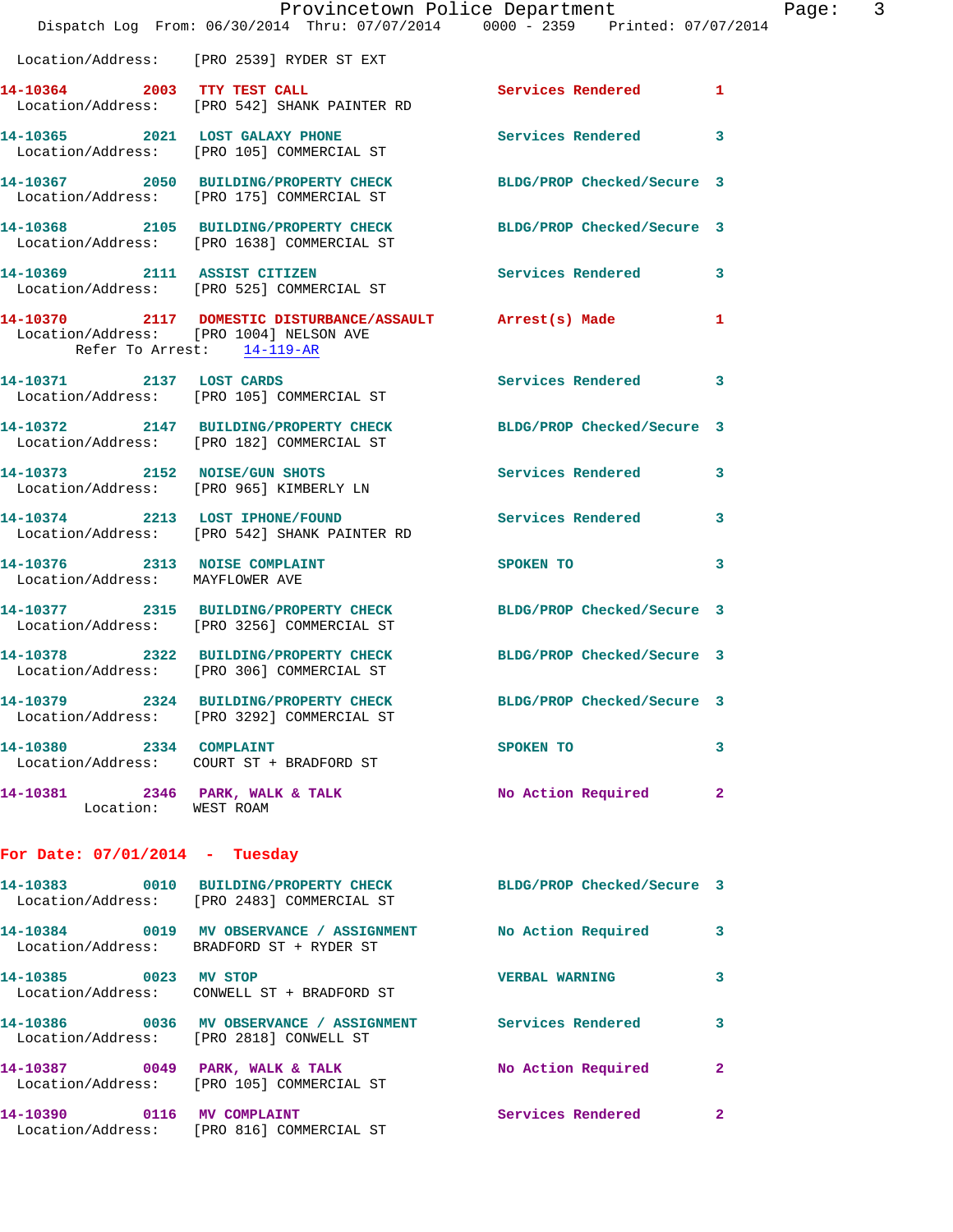|                                  | Dispatch Log From: 06/30/2014 Thru: 07/07/2014 0000 - 2359 Printed: 07/07/2014                                 | Provincetown Police Department                                                                                                                                                                                                 |              | Page: 3 |  |
|----------------------------------|----------------------------------------------------------------------------------------------------------------|--------------------------------------------------------------------------------------------------------------------------------------------------------------------------------------------------------------------------------|--------------|---------|--|
|                                  | Location/Address: [PRO 2539] RYDER ST EXT                                                                      |                                                                                                                                                                                                                                |              |         |  |
|                                  | 14-10364 2003 TTY TEST CALL<br>Location/Address: [PRO 542] SHANK PAINTER RD                                    | Services Rendered 1                                                                                                                                                                                                            |              |         |  |
|                                  | 14-10365 2021 LOST GALAXY PHONE<br>Location/Address: [PRO 105] COMMERCIAL ST                                   | Services Rendered 3                                                                                                                                                                                                            |              |         |  |
|                                  | 14-10367 2050 BUILDING/PROPERTY CHECK BLDG/PROP Checked/Secure 3<br>Location/Address: [PRO 175] COMMERCIAL ST  |                                                                                                                                                                                                                                |              |         |  |
|                                  | 14-10368 2105 BUILDING/PROPERTY CHECK BLDG/PROP Checked/Secure 3<br>Location/Address: [PRO 1638] COMMERCIAL ST |                                                                                                                                                                                                                                |              |         |  |
| 14-10369 2111 ASSIST CITIZEN     | Location/Address: [PRO 525] COMMERCIAL ST                                                                      | Services Rendered 3                                                                                                                                                                                                            |              |         |  |
| Refer To Arrest: 14-119-AR       | 14-10370 2117 DOMESTIC DISTURBANCE/ASSAULT Arrest(s) Made 1<br>Location/Address: [PRO 1004] NELSON AVE         |                                                                                                                                                                                                                                |              |         |  |
|                                  | 14-10371 2137 LOST CARDS<br>Location/Address: [PRO 105] COMMERCIAL ST                                          | Services Rendered                                                                                                                                                                                                              | 3            |         |  |
|                                  | 14-10372 2147 BUILDING/PROPERTY CHECK BLDG/PROP Checked/Secure 3<br>Location/Address: [PRO 182] COMMERCIAL ST  |                                                                                                                                                                                                                                |              |         |  |
|                                  | 14-10373 2152 NOISE/GUN SHOTS<br>Location/Address: [PRO 965] KIMBERLY LN                                       | Services Rendered                                                                                                                                                                                                              | 3            |         |  |
|                                  | 14-10374 2213 LOST IPHONE/FOUND Services Rendered 3<br>Location/Address: [PRO 542] SHANK PAINTER RD            |                                                                                                                                                                                                                                |              |         |  |
| Location/Address: MAYFLOWER AVE  | 14-10376 2313 NOISE COMPLAINT                                                                                  | SPOKEN TO AND TO A STRUCK TO A STRUCK TO A STRUCK TO A STRUCK TO A STRUCK TO A STRUCK TO A STRUCK TO A STRUCK TO A STRUCK THAT A STRUCK TO A STRUCK THAT A STRUCK THAT A STRUCK THAT A STRUCK THAT A STRUCK THAT A STRUCK THAT | 3            |         |  |
|                                  | 14-10377 2315 BUILDING/PROPERTY CHECK BLDG/PROP Checked/Secure 3<br>Location/Address: [PRO 3256] COMMERCIAL ST |                                                                                                                                                                                                                                |              |         |  |
|                                  | 14-10378 2322 BUILDING/PROPERTY CHECK BLDG/PROP Checked/Secure 3<br>Location/Address: [PRO 306] COMMERCIAL ST  |                                                                                                                                                                                                                                |              |         |  |
|                                  | 14-10379 2324 BUILDING/PROPERTY CHECK<br>Location/Address: [PRO 3292] COMMERCIAL ST                            | BLDG/PROP Checked/Secure 3                                                                                                                                                                                                     |              |         |  |
|                                  | 14-10380 2334 COMPLAINT<br>Location/Address: COURT ST + BRADFORD ST                                            | SPOKEN TO                                                                                                                                                                                                                      | 3            |         |  |
| Location: WEST ROAM              | 14-10381 2346 PARK, WALK & TALK                                                                                | No Action Required                                                                                                                                                                                                             | $\mathbf{2}$ |         |  |
| For Date: $07/01/2014$ - Tuesday |                                                                                                                |                                                                                                                                                                                                                                |              |         |  |
|                                  | 14-10383 0010 BUILDING/PROPERTY CHECK BLDG/PROP Checked/Secure 3<br>Location/Address: [PRO 2483] COMMERCIAL ST |                                                                                                                                                                                                                                |              |         |  |
|                                  | 14-10384 0019 MV OBSERVANCE / ASSIGNMENT NO Action Required<br>Location/Address: BRADFORD ST + RYDER ST        |                                                                                                                                                                                                                                | 3            |         |  |
| 14-10385 0023 MV STOP            | Location/Address: CONWELL ST + BRADFORD ST                                                                     | <b>VERBAL WARNING</b>                                                                                                                                                                                                          | $\mathbf{3}$ |         |  |
|                                  | 14-10386 60036 MV OBSERVANCE / ASSIGNMENT Services Rendered<br>Location/Address: [PRO 2818] CONWELL ST         |                                                                                                                                                                                                                                | 3            |         |  |
|                                  | 14-10387 0049 PARK, WALK & TALK<br>Location/Address: [PRO 105] COMMERCIAL ST                                   | No Action Required                                                                                                                                                                                                             | $\mathbf{2}$ |         |  |
|                                  | 14-10390 0116 MV COMPLAINT<br>Location/Address: [PRO 816] COMMERCIAL ST                                        | Services Rendered                                                                                                                                                                                                              | 2            |         |  |
|                                  |                                                                                                                |                                                                                                                                                                                                                                |              |         |  |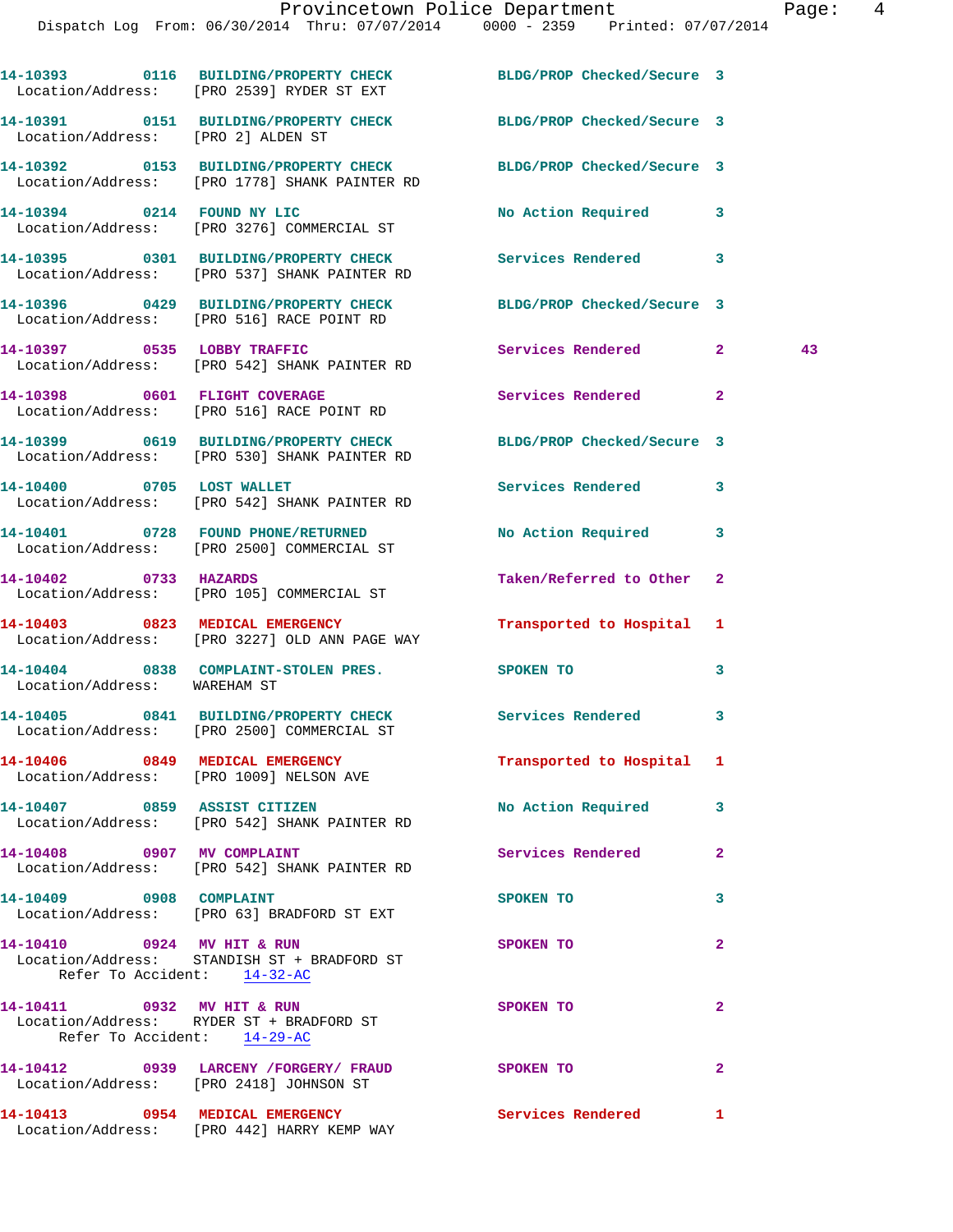**14-10393 0116 BUILDING/PROPERTY CHECK BLDG/PROP Checked/Secure 3**  Location/Address: [PRO 2539] RYDER ST EXT **14-10391 0151 BUILDING/PROPERTY CHECK BLDG/PROP Checked/Secure 3**  Location/Address: [PRO 2] ALDEN ST **14-10392 0153 BUILDING/PROPERTY CHECK BLDG/PROP Checked/Secure 3**  Location/Address: [PRO 1778] SHANK PAINTER RD **14-10394 0214 FOUND NY LIC No Action Required 3**  Location/Address: [PRO 3276] COMMERCIAL ST **14-10395 0301 BUILDING/PROPERTY CHECK Services Rendered 3**  Location/Address: [PRO 537] SHANK PAINTER RD **14-10396 0429 BUILDING/PROPERTY CHECK BLDG/PROP Checked/Secure 3**  Location/Address: [PRO 516] RACE POINT RD **14-10397 0535 LOBBY TRAFFIC Services Rendered 2 43**  Location/Address: [PRO 542] SHANK PAINTER RD **14-10398 0601 FLIGHT COVERAGE Services Rendered 2**  Location/Address: [PRO 516] RACE POINT RD **14-10399 0619 BUILDING/PROPERTY CHECK BLDG/PROP Checked/Secure 3**  Location/Address: [PRO 530] SHANK PAINTER RD 14-10400 0705 LOST WALLET Services Rendered 3 Location/Address: [PRO 542] SHANK PAINTER RD **14-10401 0728 FOUND PHONE/RETURNED No Action Required 3**  Location/Address: [PRO 2500] COMMERCIAL ST **14-10402 0733 HAZARDS Taken/Referred to Other 2**  Location/Address: [PRO 105] COMMERCIAL ST **14-10403 0823 MEDICAL EMERGENCY Transported to Hospital 1**  Location/Address: [PRO 3227] OLD ANN PAGE WAY **14-10404 0838 COMPLAINT-STOLEN PRES. SPOKEN TO 3**  Location/Address: WAREHAM ST **14-10405 0841 BUILDING/PROPERTY CHECK Services Rendered 3**  Location/Address: [PRO 2500] COMMERCIAL ST **14-10406 0849 MEDICAL EMERGENCY Transported to Hospital 1**  Location/Address: [PRO 1009] NELSON AVE **14-10407 0859 ASSIST CITIZEN No Action Required 3**  Location/Address: [PRO 542] SHANK PAINTER RD **14-10408 0907 MV COMPLAINT Services Rendered 2**  Location/Address: [PRO 542] SHANK PAINTER RD **14-10409 0908 COMPLAINT SPOKEN TO 3**  Location/Address: [PRO 63] BRADFORD ST EXT **14-10410 0924 MV HIT & RUN SPOKEN TO 2**  Location/Address: STANDISH ST + BRADFORD ST Refer To Accident: 14-32-AC **14-10411 0932 MV HIT & RUN SPOKEN TO 2**  Location/Address: RYDER ST + BRADFORD ST Refer To Accident: 14-29-AC **14-10412 0939 LARCENY /FORGERY/ FRAUD SPOKEN TO 2**  Location/Address: [PRO 2418] JOHNSON ST **14-10413 0954 MEDICAL EMERGENCY Services Rendered 1**  Location/Address: [PRO 442] HARRY KEMP WAY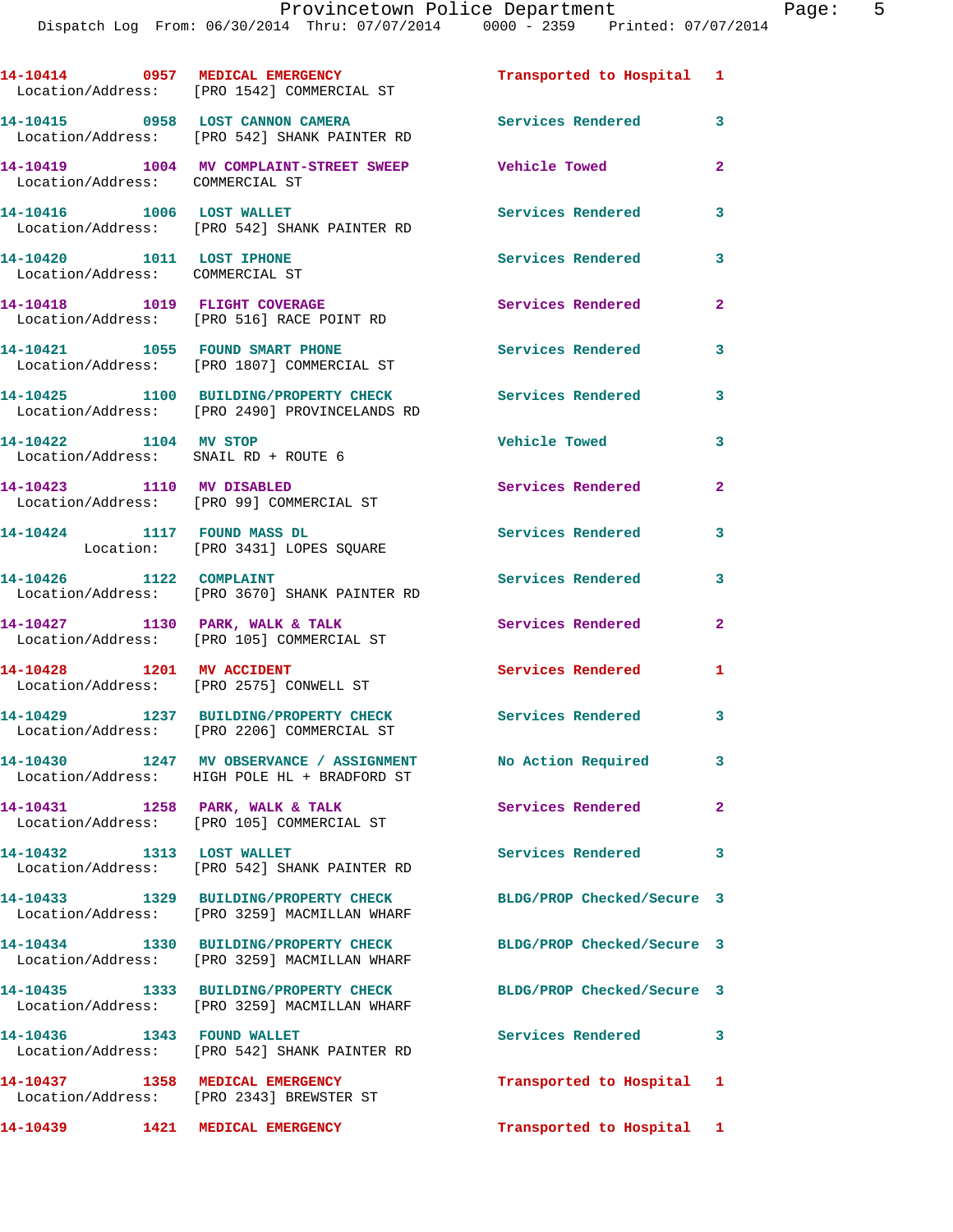|                                                               | 14-10414 0957 MEDICAL EMERGENCY<br>Location/Address: [PRO 1542] COMMERCIAL ST          | Transported to Hospital 1  |                         |
|---------------------------------------------------------------|----------------------------------------------------------------------------------------|----------------------------|-------------------------|
|                                                               | 14-10415 0958 LOST CANNON CAMERA<br>Location/Address: [PRO 542] SHANK PAINTER RD       | Services Rendered 3        |                         |
| Location/Address: COMMERCIAL ST                               | 14-10419 1004 MV COMPLAINT-STREET SWEEP                                                | <b>Vehicle Towed</b>       | $\overline{2}$          |
| 14-10416    1006    LOST WALLET                               | Location/Address: [PRO 542] SHANK PAINTER RD                                           | <b>Services Rendered</b>   | 3                       |
| 14-10420 1011 LOST IPHONE<br>Location/Address: COMMERCIAL ST  |                                                                                        | Services Rendered          | 3                       |
|                                                               | 14-10418 1019 FLIGHT COVERAGE<br>Location/Address: [PRO 516] RACE POINT RD             | Services Rendered          | $\overline{2}$          |
|                                                               | 14-10421 1055 FOUND SMART PHONE<br>Location/Address: [PRO 1807] COMMERCIAL ST          | Services Rendered          | 3                       |
|                                                               | 14-10425 1100 BUILDING/PROPERTY CHECK<br>Location/Address: [PRO 2490] PROVINCELANDS RD | <b>Services Rendered</b>   | 3                       |
| 14-10422 1104 MV STOP<br>Location/Address: SNAIL RD + ROUTE 6 |                                                                                        | Vehicle Towed              | 3                       |
| 14-10423 1110 MV DISABLED                                     | Location/Address: [PRO 99] COMMERCIAL ST                                               | Services Rendered          | $\mathbf{2}$            |
| 14-10424 1117 FOUND MASS DL                                   | Location: [PRO 3431] LOPES SQUARE                                                      | Services Rendered          | 3                       |
| 14-10426 1122 COMPLAINT                                       | Location/Address: [PRO 3670] SHANK PAINTER RD                                          | Services Rendered          | 3                       |
|                                                               | 14-10427 1130 PARK, WALK & TALK<br>Location/Address: [PRO 105] COMMERCIAL ST           | Services Rendered          | $\mathbf{2}$            |
| 14-10428 1201 MV ACCIDENT                                     | Location/Address: [PRO 2575] CONWELL ST                                                | Services Rendered          | 1                       |
|                                                               | 14-10429 1237 BUILDING/PROPERTY CHECK<br>Location/Address: [PRO 2206] COMMERCIAL ST    | Services Rendered          | $\overline{\mathbf{3}}$ |
| 14-10430                                                      | 1247 MV OBSERVANCE / ASSIGNMENT<br>Location/Address: HIGH POLE HL + BRADFORD ST        | No Action Required         | 3 <sup>1</sup>          |
|                                                               | 14-10431 1258 PARK, WALK & TALK<br>Location/Address: [PRO 105] COMMERCIAL ST           | Services Rendered          | $\mathbf{2}$            |
| 14-10432 1313 LOST WALLET                                     | Location/Address: [PRO 542] SHANK PAINTER RD                                           | <b>Services Rendered</b>   | 3                       |
|                                                               | 14-10433 1329 BUILDING/PROPERTY CHECK<br>Location/Address: [PRO 3259] MACMILLAN WHARF  | BLDG/PROP Checked/Secure 3 |                         |
|                                                               | 14-10434 1330 BUILDING/PROPERTY CHECK<br>Location/Address: [PRO 3259] MACMILLAN WHARF  | BLDG/PROP Checked/Secure 3 |                         |
|                                                               | 14-10435 1333 BUILDING/PROPERTY CHECK<br>Location/Address: [PRO 3259] MACMILLAN WHARF  | BLDG/PROP Checked/Secure 3 |                         |
| 14-10436   1343   FOUND WALLET                                | Location/Address: [PRO 542] SHANK PAINTER RD                                           | <b>Services Rendered</b>   | 3                       |
| 14-10437 1358 MEDICAL EMERGENCY                               | Location/Address: [PRO 2343] BREWSTER ST                                               | Transported to Hospital 1  |                         |
| 14-10439 1421 MEDICAL EMERGENCY                               |                                                                                        | Transported to Hospital 1  |                         |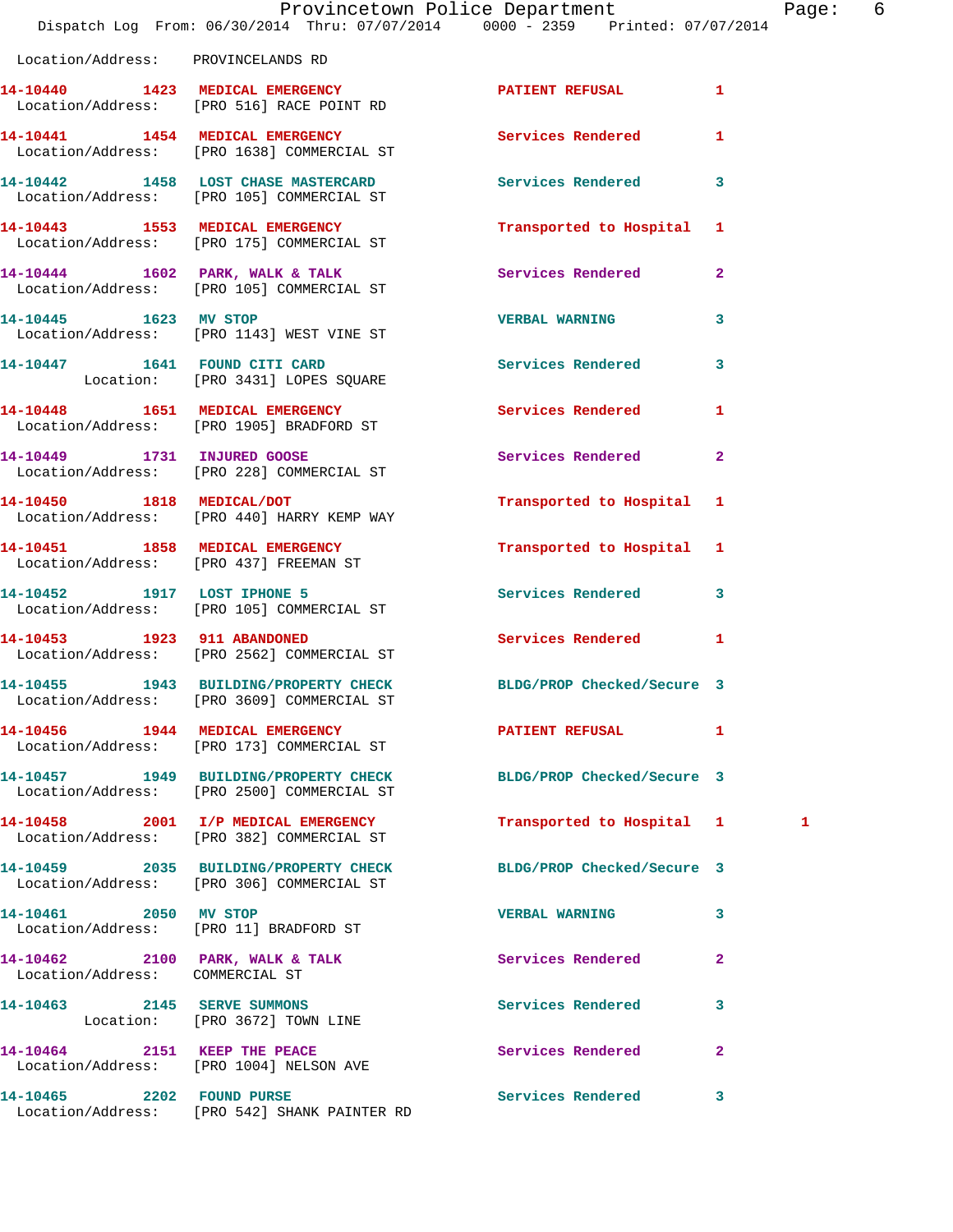|                                    | Dispatch Log From: 06/30/2014 Thru: 07/07/2014 0000 - 2359 Printed: 07/07/2014                        | Provincetown Police Department |              | Page: 6 |  |
|------------------------------------|-------------------------------------------------------------------------------------------------------|--------------------------------|--------------|---------|--|
| Location/Address: PROVINCELANDS RD |                                                                                                       |                                |              |         |  |
|                                    | 14-10440 1423 MEDICAL EMERGENCY<br>Location/Address: [PRO 516] RACE POINT RD                          | PATIENT REFUSAL 1              |              |         |  |
|                                    | 14-10441 1454 MEDICAL EMERGENCY Services Rendered 1<br>Location/Address: [PRO 1638] COMMERCIAL ST     |                                |              |         |  |
|                                    | 14-10442 1458 LOST CHASE MASTERCARD<br>Location/Address: [PRO 105] COMMERCIAL ST                      | Services Rendered 3            |              |         |  |
|                                    | 14-10443 1553 MEDICAL EMERGENCY<br>Location/Address: [PRO 175] COMMERCIAL ST                          | Transported to Hospital 1      |              |         |  |
|                                    | 14-10444 1602 PARK, WALK & TALK 1997 Services Rendered 2<br>Location/Address: [PRO 105] COMMERCIAL ST |                                |              |         |  |
|                                    | 14-10445   1623 MV STOP<br>Location/Address: [PRO 1143] WEST VINE ST                                  | <b>VERBAL WARNING</b>          | $\mathbf{3}$ |         |  |
|                                    | 14-10447 1641 FOUND CITI CARD<br>Location: [PRO 3431] LOPES SQUARE                                    | Services Rendered 3            |              |         |  |
|                                    | 14-10448 1651 MEDICAL EMERGENCY<br>Location/Address: [PRO 1905] BRADFORD ST                           | Services Rendered 1            |              |         |  |
|                                    | 14-10449 1731 INJURED GOOSE<br>Location/Address: [PRO 228] COMMERCIAL ST                              | Services Rendered 2            |              |         |  |
|                                    | 14-10450 1818 MEDICAL/DOT<br>Location/Address: [PRO 440] HARRY KEMP WAY                               | Transported to Hospital 1      |              |         |  |
|                                    | 14-10451 1858 MEDICAL EMERGENCY<br>Location/Address: [PRO 437] FREEMAN ST                             | Transported to Hospital 1      |              |         |  |
|                                    | 14-10452 1917 LOST IPHONE 5<br>Location/Address: [PRO 105] COMMERCIAL ST                              | Services Rendered 3            |              |         |  |
|                                    | 14-10453 1923 911 ABANDONED<br>Location/Address: [PRO 2562] COMMERCIAL ST                             | Services Rendered              | $\mathbf{1}$ |         |  |
|                                    | 14-10455 1943 BUILDING/PROPERTY CHECK<br>Location/Address: [PRO 3609] COMMERCIAL ST                   | BLDG/PROP Checked/Secure 3     |              |         |  |
|                                    | 14-10456 1944 MEDICAL EMERGENCY<br>Location/Address: [PRO 173] COMMERCIAL ST                          | PATIENT REFUSAL 1              |              |         |  |
|                                    | 14-10457 1949 BUILDING/PROPERTY CHECK<br>Location/Address: [PRO 2500] COMMERCIAL ST                   | BLDG/PROP Checked/Secure 3     |              |         |  |
|                                    | 14-10458 2001 I/P MEDICAL EMERGENCY<br>Location/Address: [PRO 382] COMMERCIAL ST                      | Transported to Hospital 1      |              | 1       |  |
|                                    | 14-10459 2035 BUILDING/PROPERTY CHECK<br>Location/Address: [PRO 306] COMMERCIAL ST                    | BLDG/PROP Checked/Secure 3     |              |         |  |
| 14-10461 2050 MV STOP              | Location/Address: [PRO 11] BRADFORD ST                                                                | <b>VERBAL WARNING</b>          | 3            |         |  |
| Location/Address: COMMERCIAL ST    | 14-10462 2100 PARK, WALK & TALK                                                                       | Services Rendered              | $\mathbf{2}$ |         |  |
|                                    | 14-10463 2145 SERVE SUMMONS<br>Location: [PRO 3672] TOWN LINE                                         | Services Rendered              | 3            |         |  |
|                                    | 14-10464 2151 KEEP THE PEACE<br>Location/Address: [PRO 1004] NELSON AVE                               | Services Rendered              | $\mathbf{2}$ |         |  |
| 14-10465 2202 FOUND PURSE          |                                                                                                       | Services Rendered 3            |              |         |  |

Location/Address: [PRO 542] SHANK PAINTER RD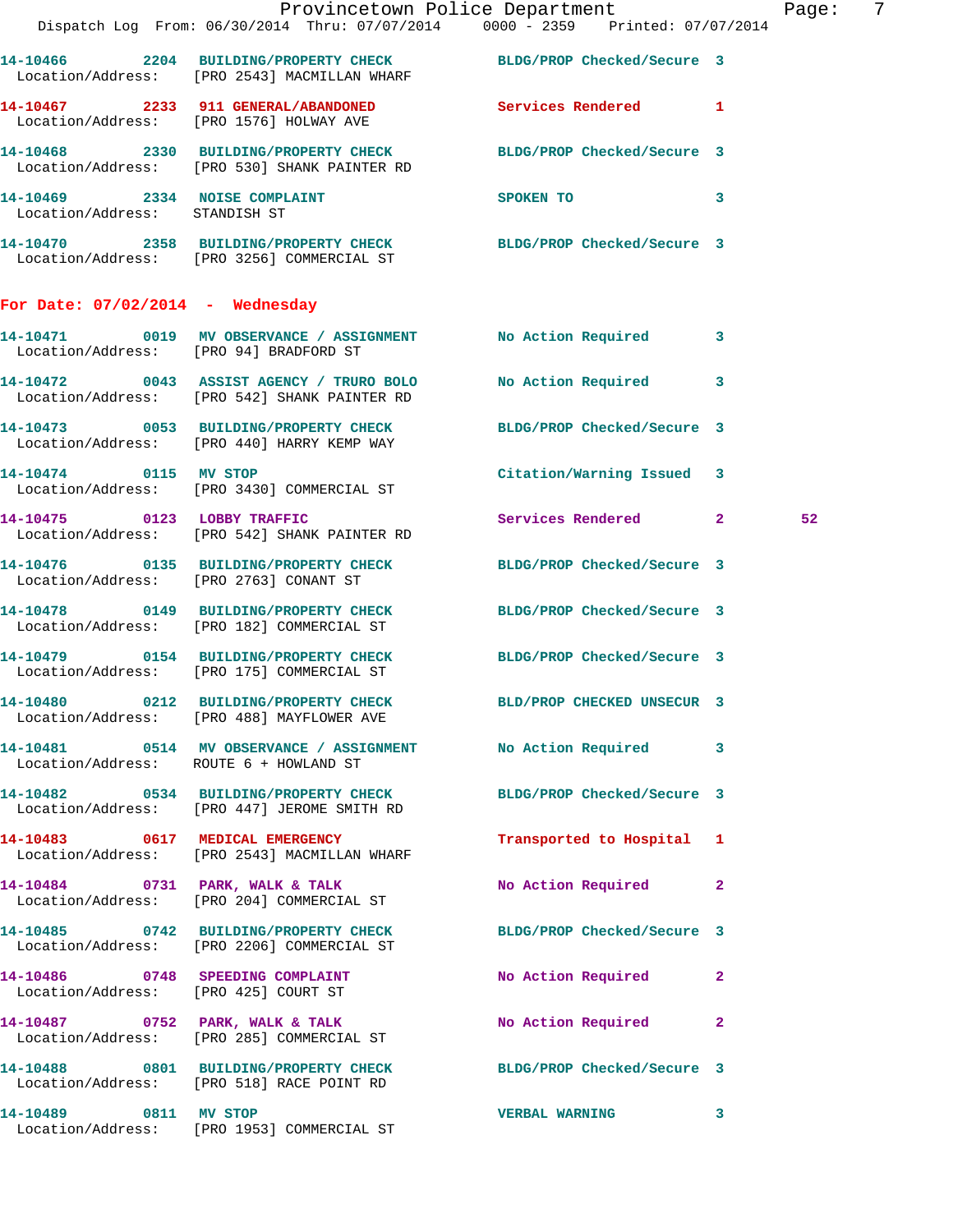|                                    |                                                                                                                  | Provincetown Police Department<br>Dispatch Log From: 06/30/2014 Thru: 07/07/2014 0000 - 2359 Printed: 07/07/2014 | - 7<br>Page: |
|------------------------------------|------------------------------------------------------------------------------------------------------------------|------------------------------------------------------------------------------------------------------------------|--------------|
|                                    | Location/Address: [PRO 2543] MACMILLAN WHARF                                                                     | 14-10466 2204 BUILDING/PROPERTY CHECK BLDG/PROP Checked/Secure 3                                                 |              |
|                                    | 14-10467 2233 911 GENERAL/ABANDONED Services Rendered 1<br>Location/Address: [PRO 1576] HOLWAY AVE               |                                                                                                                  |              |
|                                    | 14-10468 2330 BUILDING/PROPERTY CHECK BLDG/PROP Checked/Secure 3<br>Location/Address: [PRO 530] SHANK PAINTER RD |                                                                                                                  |              |
| Location/Address: STANDISH ST      | 14-10469 2334 NOISE COMPLAINT SPOKEN TO 3                                                                        |                                                                                                                  |              |
|                                    | 14-10470 2358 BUILDING/PROPERTY CHECK BLDG/PROP Checked/Secure 3<br>Location/Address: [PRO 3256] COMMERCIAL ST   |                                                                                                                  |              |
| For Date: $07/02/2014$ - Wednesday |                                                                                                                  |                                                                                                                  |              |
|                                    | 14-10471 0019 MV OBSERVANCE / ASSIGNMENT No Action Required 3<br>Location/Address: [PRO 94] BRADFORD ST          |                                                                                                                  |              |
|                                    | 14-10472 0043 ASSIST AGENCY / TRURO BOLO<br>Location/Address: [PRO 542] SHANK PAINTER RD                         | No Action Required 3                                                                                             |              |
|                                    | 14-10473 0053 BUILDING/PROPERTY CHECK BLDG/PROP Checked/Secure 3<br>Location/Address: [PRO 440] HARRY KEMP WAY   |                                                                                                                  |              |
| 14-10474 0115 MV STOP              | Location/Address: [PRO 3430] COMMERCIAL ST                                                                       | Citation/Warning Issued 3                                                                                        |              |
|                                    | 14-10475 0123 LOBBY TRAFFIC<br>Location/Address: [PRO 542] SHANK PAINTER RD                                      | Services Rendered 2                                                                                              | 52           |
|                                    | 14-10476  0135 BUILDING/PROPERTY CHECK BLDG/PROP Checked/Secure 3<br>Location/Address: [PRO 2763] CONANT ST      |                                                                                                                  |              |
|                                    | 14-10478 0149 BUILDING/PROPERTY CHECK BLDG/PROP Checked/Secure 3<br>Location/Address: [PRO 182] COMMERCIAL ST    |                                                                                                                  |              |
|                                    | 14-10479 0154 BUILDING/PROPERTY CHECK BLDG/PROP Checked/Secure 3<br>Location/Address: [PRO 175] COMMERCIAL ST    |                                                                                                                  |              |
|                                    | 14-10480 0212 BUILDING/PROPERTY CHECK<br>Location/Address: [PRO 488] MAYFLOWER AVE                               | BLD/PROP CHECKED UNSECUR 3                                                                                       |              |
|                                    | 14-10481 0514 MV OBSERVANCE / ASSIGNMENT NO Action Required 3<br>Location/Address: ROUTE 6 + HOWLAND ST          |                                                                                                                  |              |
|                                    | 14-10482 0534 BUILDING/PROPERTY CHECK BLDG/PROP Checked/Secure 3<br>Location/Address: [PRO 447] JEROME SMITH RD  |                                                                                                                  |              |
|                                    | 14-10483 0617 MEDICAL EMERGENCY<br>Location/Address: [PRO 2543] MACMILLAN WHARF                                  | Transported to Hospital 1                                                                                        |              |
|                                    | 14-10484 0731 PARK, WALK & TALK<br>Location/Address: [PRO 204] COMMERCIAL ST                                     | No Action Required 2                                                                                             |              |
|                                    | 14-10485 0742 BUILDING/PROPERTY CHECK BLDG/PROP Checked/Secure 3<br>Location/Address: [PRO 2206] COMMERCIAL ST   |                                                                                                                  |              |
|                                    | 14-10486 0748 SPEEDING COMPLAINT<br>Location/Address: [PRO 425] COURT ST                                         | No Action Required 2                                                                                             |              |
|                                    | 14-10487 0752 PARK, WALK & TALK<br>Location/Address: [PRO 285] COMMERCIAL ST                                     | No Action Required 2                                                                                             |              |
|                                    | 14-10488 0801 BUILDING/PROPERTY CHECK BLDG/PROP Checked/Secure 3<br>Location/Address: [PRO 518] RACE POINT RD    |                                                                                                                  |              |
| 14-10489 0811 MV STOP              | Location/Address: [PRO 1953] COMMERCIAL ST                                                                       | <b>VERBAL WARNING</b><br>$\mathbf{3}$                                                                            |              |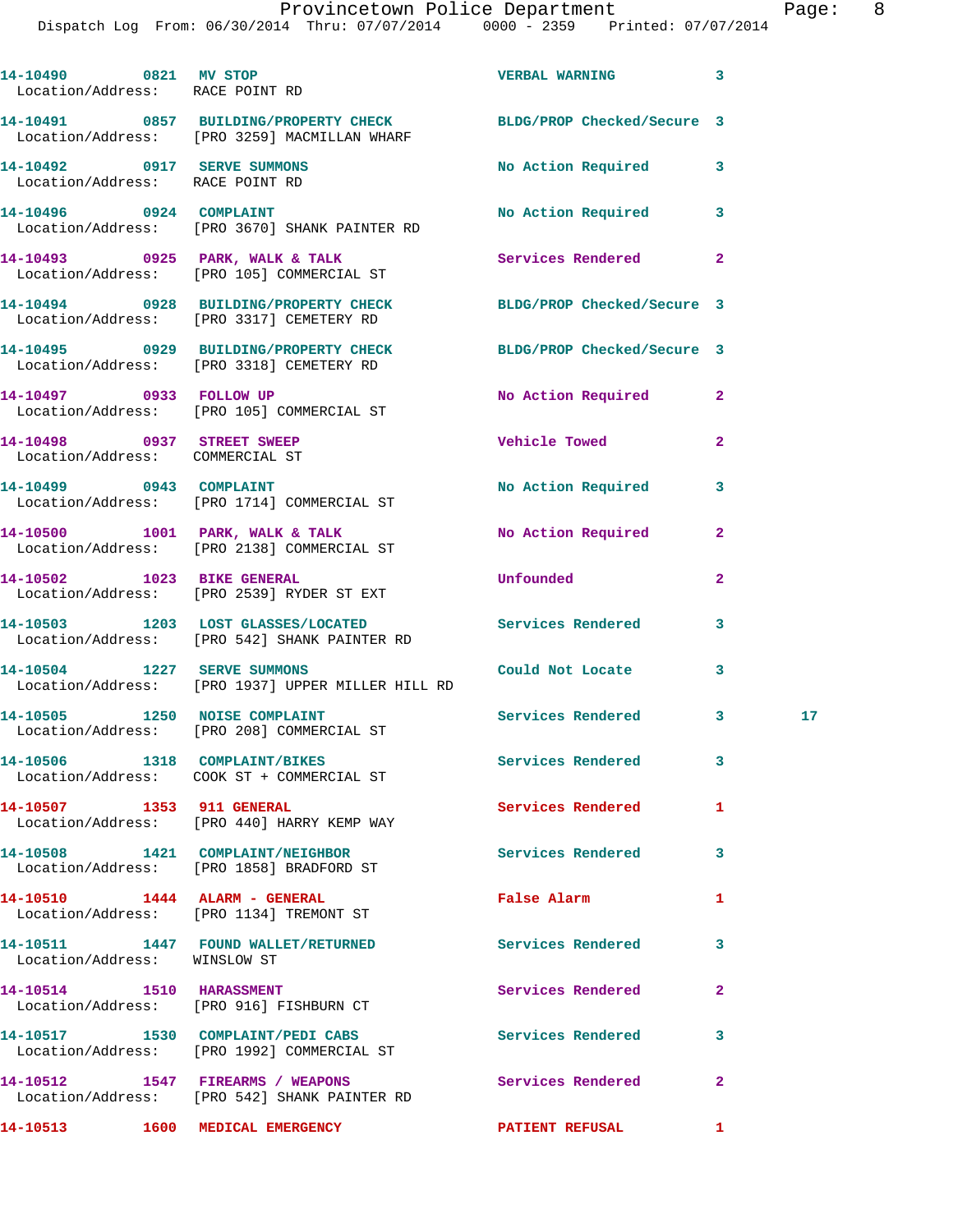| Location/Address: RACE POINT RD                                | 14-10490 0821 MV STOP                                                                                            | <b>VERBAL WARNING</b>      | 3              |    |
|----------------------------------------------------------------|------------------------------------------------------------------------------------------------------------------|----------------------------|----------------|----|
|                                                                | 14-10491 0857 BUILDING/PROPERTY CHECK BLDG/PROP Checked/Secure 3<br>Location/Address: [PRO 3259] MACMILLAN WHARF |                            |                |    |
| 14-10492 0917 SERVE SUMMONS<br>Location/Address: RACE POINT RD |                                                                                                                  | No Action Required         | 3              |    |
| 14-10496 0924 COMPLAINT                                        | Location/Address: [PRO 3670] SHANK PAINTER RD                                                                    | No Action Required         | 3              |    |
|                                                                | 14-10493 0925 PARK, WALK & TALK<br>Location/Address: [PRO 105] COMMERCIAL ST                                     | Services Rendered          | $\overline{2}$ |    |
|                                                                | 14-10494 0928 BUILDING/PROPERTY CHECK<br>Location/Address: [PRO 3317] CEMETERY RD                                | BLDG/PROP Checked/Secure 3 |                |    |
|                                                                | 14-10495 0929 BUILDING/PROPERTY CHECK<br>Location/Address: [PRO 3318] CEMETERY RD                                | BLDG/PROP Checked/Secure 3 |                |    |
|                                                                | 14-10497 0933 FOLLOW UP<br>Location/Address: [PRO 105] COMMERCIAL ST                                             | No Action Required         | $\mathbf{2}$   |    |
| 14-10498 0937 STREET SWEEP<br>Location/Address: COMMERCIAL ST  |                                                                                                                  | Vehicle Towed Towe         | $\overline{2}$ |    |
|                                                                | 14-10499 0943 COMPLAINT<br>Location/Address: [PRO 1714] COMMERCIAL ST                                            | No Action Required         | 3              |    |
|                                                                | 14-10500 1001 PARK, WALK & TALK<br>Location/Address: [PRO 2138] COMMERCIAL ST                                    | No Action Required         | $\overline{a}$ |    |
| 14-10502 1023 BIKE GENERAL                                     | Location/Address: [PRO 2539] RYDER ST EXT                                                                        | Unfounded                  | $\mathbf{2}$   |    |
|                                                                | 14-10503 1203 LOST GLASSES/LOCATED 5ervices Rendered<br>Location/Address: [PRO 542] SHANK PAINTER RD             |                            | 3              |    |
|                                                                | 14-10504 1227 SERVE SUMMONS<br>Location/Address: [PRO 1937] UPPER MILLER HILL RD                                 | Could Not Locate           | 3              |    |
| 14-10505 1250 NOISE COMPLAINT                                  |                                                                                                                  | Services Rendered          | 3              | 17 |
|                                                                | Location/Address: [PRO 208] COMMERCIAL ST<br>14-10506 1318 COMPLAINT/BIKES                                       | Services Rendered          | 3              |    |
| 14-10507 1353 911 GENERAL                                      | Location/Address: COOK ST + COMMERCIAL ST                                                                        | <b>Services Rendered</b>   | 1              |    |
|                                                                | Location/Address: [PRO 440] HARRY KEMP WAY<br>14-10508 1421 COMPLAINT/NEIGHBOR                                   | Services Rendered          | 3              |    |
|                                                                | Location/Address: [PRO 1858] BRADFORD ST<br>14-10510 1444 ALARM - GENERAL                                        | False Alarm                | 1              |    |
|                                                                | Location/Address: [PRO 1134] TREMONT ST<br>14-10511 1447 FOUND WALLET/RETURNED                                   | <b>Services Rendered</b>   | 3              |    |
| Location/Address: WINSLOW ST<br>14-10514 1510 HARASSMENT       |                                                                                                                  | Services Rendered          | $\mathbf{2}$   |    |
|                                                                | Location/Address: [PRO 916] FISHBURN CT<br>14-10517 1530 COMPLAINT/PEDI CABS                                     | <b>Services Rendered</b>   | 3              |    |
|                                                                | Location/Address: [PRO 1992] COMMERCIAL ST                                                                       |                            |                |    |
|                                                                | 14-10512 1547 FIREARMS / WEAPONS<br>Location/Address: [PRO 542] SHANK PAINTER RD                                 | Services Rendered          | $\mathbf{2}$   |    |
| 14-10513                                                       | 1600 MEDICAL EMERGENCY                                                                                           | <b>PATIENT REFUSAL</b>     | 1              |    |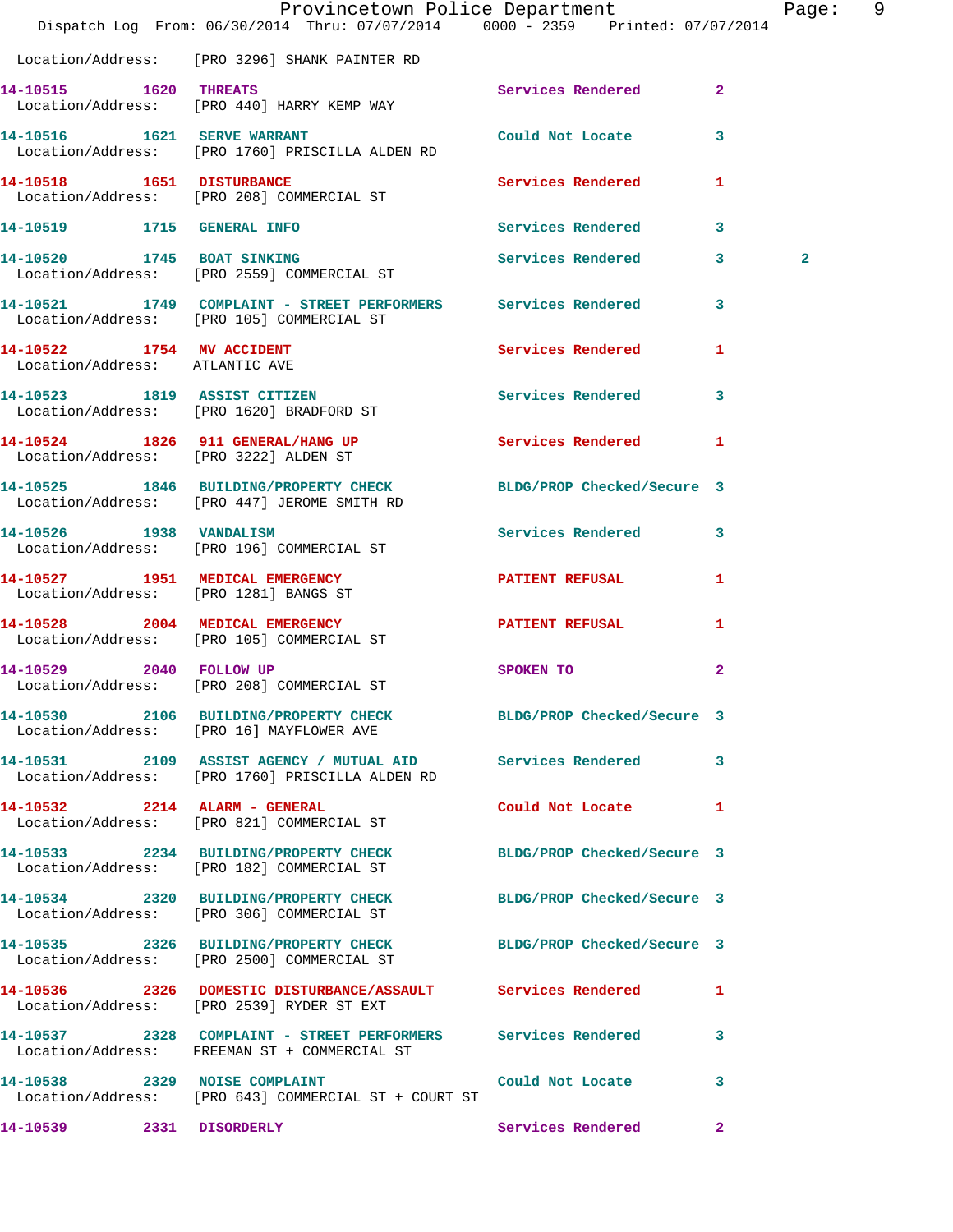|                                                             | Dispatch Log From: 06/30/2014 Thru: 07/07/2014 0000 - 2359 Printed: 07/07/2014                                  | Provincetown Police Department Page: 9 |              |              |  |
|-------------------------------------------------------------|-----------------------------------------------------------------------------------------------------------------|----------------------------------------|--------------|--------------|--|
|                                                             | Location/Address: [PRO 3296] SHANK PAINTER RD                                                                   |                                        |              |              |  |
| 14-10515 1620 THREATS                                       | Location/Address: [PRO 440] HARRY KEMP WAY                                                                      | Services Rendered 2                    |              |              |  |
|                                                             | 14-10516 1621 SERVE WARRANT<br>Location/Address: [PRO 1760] PRISCILLA ALDEN RD                                  | Could Not Locate                       | 3            |              |  |
| 14-10518 1651 DISTURBANCE                                   | Location/Address: [PRO 208] COMMERCIAL ST                                                                       | Services Rendered 1                    |              |              |  |
|                                                             | 14-10519 1715 GENERAL INFO                                                                                      | Services Rendered                      | 3            |              |  |
|                                                             | 14-10520 1745 BOAT SINKING<br>Location/Address: [PRO 2559] COMMERCIAL ST                                        | Services Rendered 3                    |              | $\mathbf{2}$ |  |
|                                                             | 14-10521 1749 COMPLAINT - STREET PERFORMERS Services Rendered<br>Location/Address: [PRO 105] COMMERCIAL ST      |                                        | 3            |              |  |
| 14-10522 1754 MV ACCIDENT<br>Location/Address: ATLANTIC AVE |                                                                                                                 | Services Rendered 1                    |              |              |  |
|                                                             | 14-10523 1819 ASSIST CITIZEN<br>Location/Address: [PRO 1620] BRADFORD ST                                        | Services Rendered                      | 3            |              |  |
|                                                             | 14-10524 1826 911 GENERAL/HANG UP Services Rendered 1<br>Location/Address: [PRO 3222] ALDEN ST                  |                                        |              |              |  |
|                                                             | 14-10525 1846 BUILDING/PROPERTY CHECK BLDG/PROP Checked/Secure 3<br>Location/Address: [PRO 447] JEROME SMITH RD |                                        |              |              |  |
| 14-10526 1938 VANDALISM                                     | Location/Address: [PRO 196] COMMERCIAL ST                                                                       | Services Rendered                      | 3            |              |  |
|                                                             | 14-10527 1951 MEDICAL EMERGENCY<br>Location/Address: [PRO 1281] BANGS ST                                        | PATIENT REFUSAL                        | $\mathbf{1}$ |              |  |
|                                                             | 14-10528 2004 MEDICAL EMERGENCY<br>Location/Address: [PRO 105] COMMERCIAL ST                                    | <b>PATIENT REFUSAL</b>                 | 1            |              |  |
|                                                             | 14-10529 2040 FOLLOW UP<br>Location/Address: [PRO 208] COMMERCIAL ST                                            | SPOKEN TO                              | $\mathbf{2}$ |              |  |
|                                                             | 14-10530 2106 BUILDING/PROPERTY CHECK BLDG/PROP Checked/Secure 3<br>Location/Address: [PRO 16] MAYFLOWER AVE    |                                        |              |              |  |
|                                                             | 14-10531 2109 ASSIST AGENCY / MUTUAL AID Services Rendered<br>Location/Address: [PRO 1760] PRISCILLA ALDEN RD   |                                        | 3            |              |  |
| 14-10532 2214 ALARM - GENERAL                               | Location/Address: [PRO 821] COMMERCIAL ST                                                                       | Could Not Locate 1                     |              |              |  |
|                                                             | 14-10533 2234 BUILDING/PROPERTY CHECK BLDG/PROP Checked/Secure 3<br>Location/Address: [PRO 182] COMMERCIAL ST   |                                        |              |              |  |
|                                                             | 14-10534 2320 BUILDING/PROPERTY CHECK BLDG/PROP Checked/Secure 3<br>Location/Address: [PRO 306] COMMERCIAL ST   |                                        |              |              |  |
|                                                             | 14-10535 2326 BUILDING/PROPERTY CHECK BLDG/PROP Checked/Secure 3<br>Location/Address: [PRO 2500] COMMERCIAL ST  |                                        |              |              |  |
|                                                             | 14-10536 2326 DOMESTIC DISTURBANCE/ASSAULT Services Rendered<br>Location/Address: [PRO 2539] RYDER ST EXT       |                                        | 1            |              |  |
|                                                             | Location/Address: FREEMAN ST + COMMERCIAL ST                                                                    |                                        | 3            |              |  |
|                                                             | 14-10538 2329 NOISE COMPLAINT<br>Location/Address: [PRO 643] COMMERCIAL ST + COURT ST                           | Could Not Locate                       | 3            |              |  |
| 14-10539 2331 DISORDERLY                                    |                                                                                                                 | Services Rendered                      | $\mathbf{2}$ |              |  |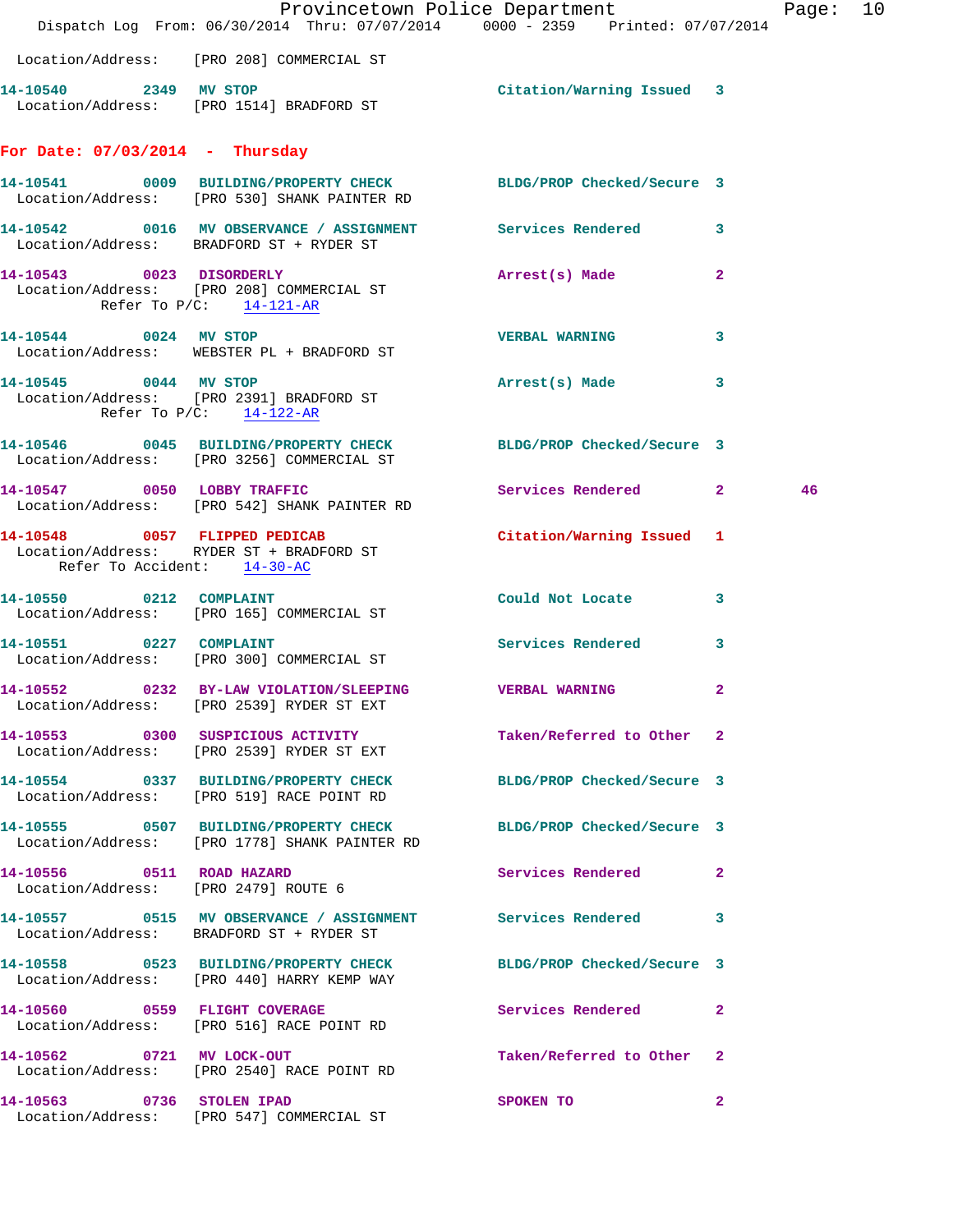|                                                              | Dispatch Log From: 06/30/2014 Thru: 07/07/2014 0000 - 2359 Printed: 07/07/2014                                    | Provincetown Police Department |              | Page: 10 |  |
|--------------------------------------------------------------|-------------------------------------------------------------------------------------------------------------------|--------------------------------|--------------|----------|--|
|                                                              | Location/Address: [PRO 208] COMMERCIAL ST                                                                         |                                |              |          |  |
| 14-10540 2349 MV STOP                                        | Location/Address: [PRO 1514] BRADFORD ST                                                                          | Citation/Warning Issued 3      |              |          |  |
| For Date: $07/03/2014$ - Thursday                            |                                                                                                                   |                                |              |          |  |
|                                                              | 14-10541 0009 BUILDING/PROPERTY CHECK BLDG/PROP Checked/Secure 3<br>Location/Address: [PRO 530] SHANK PAINTER RD  |                                |              |          |  |
|                                                              | 14-10542 0016 MV OBSERVANCE / ASSIGNMENT Services Rendered<br>Location/Address: BRADFORD ST + RYDER ST            |                                | 3            |          |  |
| 14-10543 0023 DISORDERLY<br>Refer To $P/C$ : 14-121-AR       | Location/Address: [PRO 208] COMMERCIAL ST                                                                         | Arrest(s) Made                 | $\mathbf{2}$ |          |  |
| 14-10544 0024 MV STOP                                        | Location/Address: WEBSTER PL + BRADFORD ST                                                                        | <b>VERBAL WARNING</b>          | 3            |          |  |
| 14-10545 0044 MV STOP<br>Refer To $P/C$ : $14-122-AR$        | Location/Address: [PRO 2391] BRADFORD ST                                                                          | Arrest(s) Made                 | 3            |          |  |
|                                                              | 14-10546 0045 BUILDING/PROPERTY CHECK BLDG/PROP Checked/Secure 3<br>Location/Address: [PRO 3256] COMMERCIAL ST    |                                |              |          |  |
|                                                              | 14-10547 0050 LOBBY TRAFFIC<br>Location/Address: [PRO 542] SHANK PAINTER RD                                       | Services Rendered 2            |              | 46       |  |
| 14-10548 0057 FLIPPED PEDICAB<br>Refer To Accident: 14-30-AC | Location/Address: RYDER ST + BRADFORD ST                                                                          | Citation/Warning Issued 1      |              |          |  |
| 14-10550 0212 COMPLAINT                                      | Location/Address: [PRO 165] COMMERCIAL ST                                                                         | Could Not Locate               | 3            |          |  |
| 14-10551 0227 COMPLAINT                                      | Location/Address: [PRO 300] COMMERCIAL ST                                                                         | <b>Services Rendered</b>       | 3            |          |  |
|                                                              | 14-10552 0232 BY-LAW VIOLATION/SLEEPING VERBAL WARNING<br>Location/Address: [PRO 2539] RYDER ST EXT               |                                | $\mathbf{2}$ |          |  |
|                                                              | 14-10553 0300 SUSPICIOUS ACTIVITY<br>Location/Address: [PRO 2539] RYDER ST EXT                                    | Taken/Referred to Other 2      |              |          |  |
|                                                              | 14-10554 0337 BUILDING/PROPERTY CHECK BLDG/PROP Checked/Secure 3<br>Location/Address: [PRO 519] RACE POINT RD     |                                |              |          |  |
|                                                              | 14-10555 0507 BUILDING/PROPERTY CHECK BLDG/PROP Checked/Secure 3<br>Location/Address: [PRO 1778] SHANK PAINTER RD |                                |              |          |  |
| Location/Address: [PRO 2479] ROUTE 6                         | 14-10556 0511 ROAD HAZARD                                                                                         | Services Rendered 2            |              |          |  |
|                                                              | 14-10557 0515 MV OBSERVANCE / ASSIGNMENT Services Rendered 3<br>Location/Address: BRADFORD ST + RYDER ST          |                                |              |          |  |
|                                                              | 14-10558 0523 BUILDING/PROPERTY CHECK<br>Location/Address: [PRO 440] HARRY KEMP WAY                               | BLDG/PROP Checked/Secure 3     |              |          |  |
|                                                              | 14-10560 0559 FLIGHT COVERAGE<br>Location/Address: [PRO 516] RACE POINT RD                                        | Services Rendered 2            |              |          |  |
|                                                              | 14-10562 0721 MV LOCK-OUT<br>Location/Address: [PRO 2540] RACE POINT RD                                           | Taken/Referred to Other 2      |              |          |  |
| 14-10563 0736 STOLEN IPAD                                    | Location/Address: [PRO 547] COMMERCIAL ST                                                                         | SPOKEN TO                      | $\mathbf{2}$ |          |  |
|                                                              |                                                                                                                   |                                |              |          |  |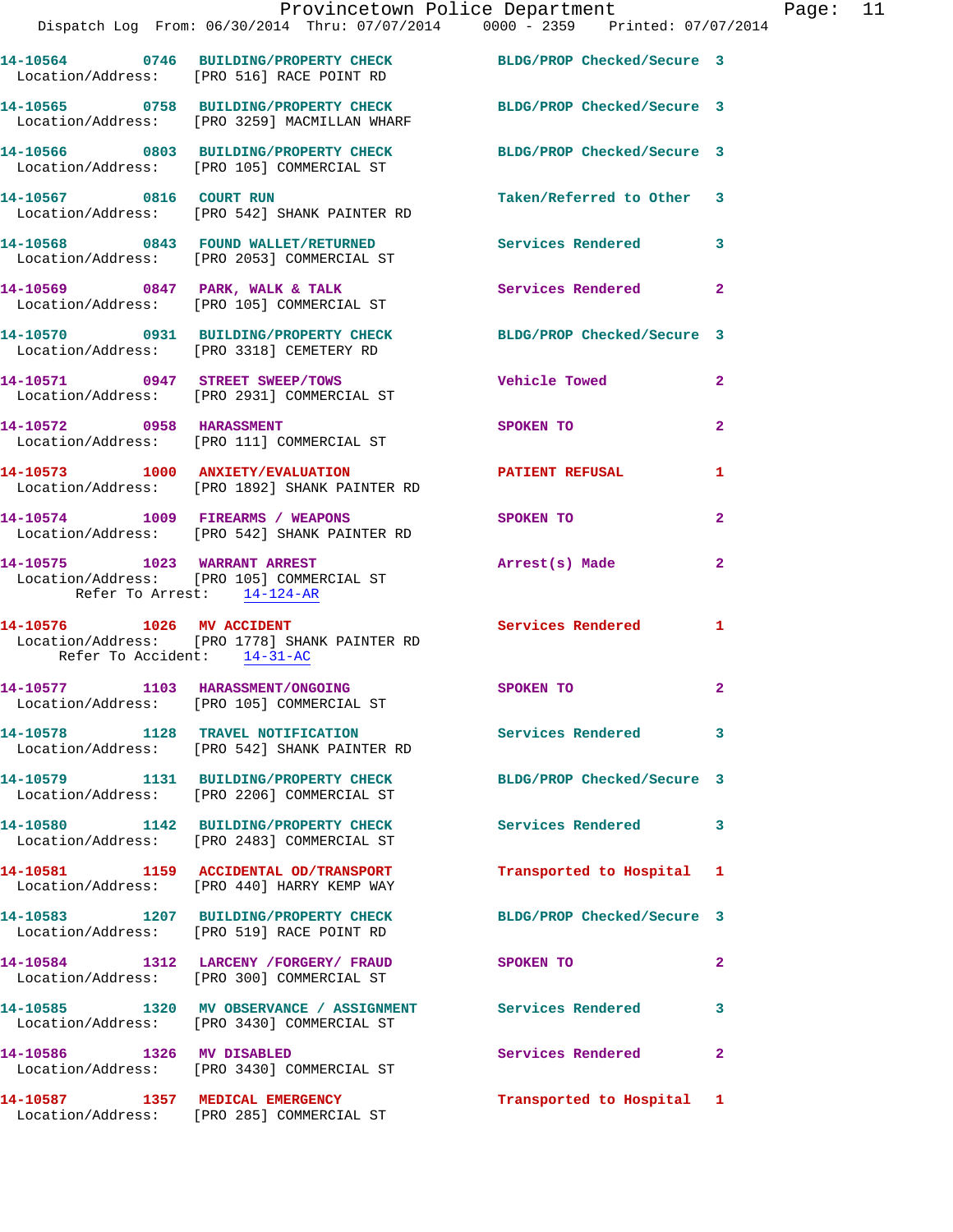|                             | Dispatch Log From: 06/30/2014 Thru: 07/07/2014 0000 - 2359 Printed: 07/07/2014                                   | Provincetown Police Department |                | Page: 11 |  |
|-----------------------------|------------------------------------------------------------------------------------------------------------------|--------------------------------|----------------|----------|--|
|                             | 14-10564 0746 BUILDING/PROPERTY CHECK BLDG/PROP Checked/Secure 3<br>Location/Address: [PRO 516] RACE POINT RD    |                                |                |          |  |
|                             | 14-10565 0758 BUILDING/PROPERTY CHECK BLDG/PROP Checked/Secure 3<br>Location/Address: [PRO 3259] MACMILLAN WHARF |                                |                |          |  |
|                             | 14-10566 0803 BUILDING/PROPERTY CHECK BLDG/PROP Checked/Secure 3<br>Location/Address: [PRO 105] COMMERCIAL ST    |                                |                |          |  |
| 14-10567 0816 COURT RUN     | Location/Address: [PRO 542] SHANK PAINTER RD                                                                     | Taken/Referred to Other 3      |                |          |  |
|                             | 14-10568 0843 FOUND WALLET/RETURNED<br>Location/Address: [PRO 2053] COMMERCIAL ST                                | Services Rendered 3            |                |          |  |
|                             | 14-10569 0847 PARK, WALK & TALK<br>Location/Address: [PRO 105] COMMERCIAL ST                                     | Services Rendered              | $\mathbf{2}$   |          |  |
|                             | 14-10570 0931 BUILDING/PROPERTY CHECK<br>Location/Address: [PRO 3318] CEMETERY RD                                | BLDG/PROP Checked/Secure 3     |                |          |  |
|                             | 14-10571 0947 STREET SWEEP/TOWS<br>Location/Address: [PRO 2931] COMMERCIAL ST                                    | <b>Vehicle Towed</b>           | $\mathbf{2}$   |          |  |
|                             | 14-10572 0958 HARASSMENT<br>Location/Address: [PRO 111] COMMERCIAL ST                                            | SPOKEN TO                      | $\mathbf{2}$   |          |  |
|                             | 14-10573 1000 ANXIETY/EVALUATION<br>Location/Address: [PRO 1892] SHANK PAINTER RD                                | <b>PATIENT REFUSAL</b>         | 1              |          |  |
|                             | 14-10574 1009 FIREARMS / WEAPONS<br>Location/Address: [PRO 542] SHANK PAINTER RD                                 | SPOKEN TO                      | $\overline{2}$ |          |  |
| Refer To Arrest: 14-124-AR  | 14-10575 1023 WARRANT ARREST<br>Location/Address: [PRO 105] COMMERCIAL ST                                        | Arrest(s) Made                 | 2              |          |  |
| Refer To Accident: 14-31-AC | 14-10576    1026    MV    ACCIDENT<br>Location/Address: [PRO 1778] SHANK PAINTER RD                              | Services Rendered              | $\mathbf{1}$   |          |  |
|                             | 14-10577 1103 HARASSMENT/ONGOING<br>Location/Address: [PRO 105] COMMERCIAL ST                                    | SPOKEN TO                      | $\mathbf{2}$   |          |  |
|                             | 14-10578 1128 TRAVEL NOTIFICATION Services Rendered 3<br>Location/Address: [PRO 542] SHANK PAINTER RD            |                                |                |          |  |
|                             | 14-10579 1131 BUILDING/PROPERTY CHECK BLDG/PROP Checked/Secure 3<br>Location/Address: [PRO 2206] COMMERCIAL ST   |                                |                |          |  |
|                             | 14-10580 1142 BUILDING/PROPERTY CHECK<br>Location/Address: [PRO 2483] COMMERCIAL ST                              | Services Rendered 3            |                |          |  |
|                             | 14-10581 1159 ACCIDENTAL OD/TRANSPORT<br>Location/Address: [PRO 440] HARRY KEMP WAY                              | Transported to Hospital 1      |                |          |  |
|                             | 14-10583 1207 BUILDING/PROPERTY CHECK BLDG/PROP Checked/Secure 3<br>Location/Address: [PRO 519] RACE POINT RD    |                                |                |          |  |
|                             | 14-10584 1312 LARCENY / FORGERY / FRAUD<br>Location/Address: [PRO 300] COMMERCIAL ST                             | SPOKEN TO                      | 2              |          |  |
|                             | 14-10585 1320 MV OBSERVANCE / ASSIGNMENT Services Rendered<br>Location/Address: [PRO 3430] COMMERCIAL ST         |                                | 3              |          |  |
|                             | 14-10586 1326 MV DISABLED<br>Location/Address: [PRO 3430] COMMERCIAL ST                                          | Services Rendered              | $\mathbf{2}$   |          |  |
|                             | 14-10587 1357 MEDICAL EMERGENCY<br>Location/Address: [PRO 285] COMMERCIAL ST                                     | Transported to Hospital 1      |                |          |  |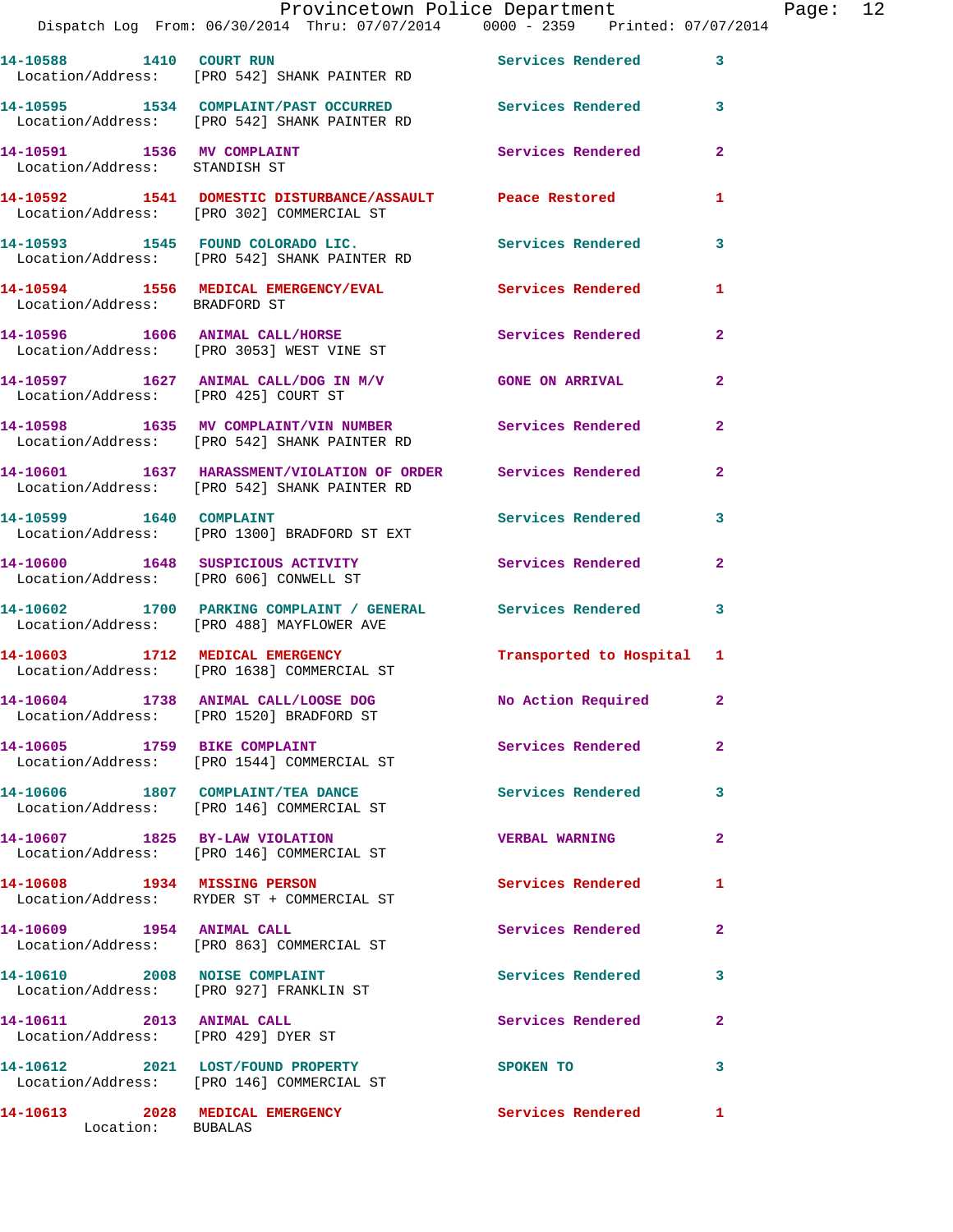**14-10595 1534 COMPLAINT/PAST OCCURRED Services Rendered 3**  Location/Address: [PRO 542] SHANK PAINTER RD **14-10591 1536 MV COMPLAINT Services Rendered 2**  Location/Address: STANDISH ST **14-10592 1541 DOMESTIC DISTURBANCE/ASSAULT Peace Restored 1**  Location/Address: [PRO 302] COMMERCIAL ST **14-10593 1545 FOUND COLORADO LIC. Services Rendered 3**  Location/Address: [PRO 542] SHANK PAINTER RD **14-10594 1556 MEDICAL EMERGENCY/EVAL Services Rendered 1**  Location/Address: BRADFORD ST **14-10596 1606 ANIMAL CALL/HORSE Services Rendered 2**  Location/Address: [PRO 3053] WEST VINE ST **14-10597 1627 ANIMAL CALL/DOG IN M/V GONE ON ARRIVAL 2**  Location/Address: [PRO 425] COURT ST **14-10598 1635 MV COMPLAINT/VIN NUMBER Services Rendered 2**  Location/Address: [PRO 542] SHANK PAINTER RD **14-10601 1637 HARASSMENT/VIOLATION OF ORDER Services Rendered 2**  Location/Address: [PRO 542] SHANK PAINTER RD 14-10599 1640 COMPLAINT Services Rendered 3 Location/Address: [PRO 1300] BRADFORD ST EXT **14-10600 1648 SUSPICIOUS ACTIVITY Services Rendered 2**  Location/Address: [PRO 606] CONWELL ST **14-10602 1700 PARKING COMPLAINT / GENERAL Services Rendered 3**  Location/Address: [PRO 488] MAYFLOWER AVE **14-10603 1712 MEDICAL EMERGENCY Transported to Hospital 1**  Location/Address: [PRO 1638] COMMERCIAL ST **14-10604 1738 ANIMAL CALL/LOOSE DOG No Action Required 2**  Location/Address: [PRO 1520] BRADFORD ST **14-10605 1759 BIKE COMPLAINT Services Rendered 2**  Location/Address: [PRO 1544] COMMERCIAL ST **14-10606 1807 COMPLAINT/TEA DANCE Services Rendered 3**  Location/Address: [PRO 146] COMMERCIAL ST **14-10607 1825 BY-LAW VIOLATION VERBAL WARNING 2**  Location/Address: [PRO 146] COMMERCIAL ST **14-10608 1934 MISSING PERSON Services Rendered 1**  Location/Address: RYDER ST + COMMERCIAL ST 14-10609 1954 ANIMAL CALL **Services Rendered** 2 Location/Address: [PRO 863] COMMERCIAL ST **14-10610 2008 NOISE COMPLAINT Services Rendered 3**  Location/Address: [PRO 927] FRANKLIN ST **14-10611 2013 ANIMAL CALL Services Rendered 2**  Location/Address: [PRO 429] DYER ST

**14-10612 2021 LOST/FOUND PROPERTY SPOKEN TO 3**  Location/Address: [PRO 146] COMMERCIAL ST

**14-10613 2028 MEDICAL EMERGENCY Services Rendered 1**  Location: BUBALAS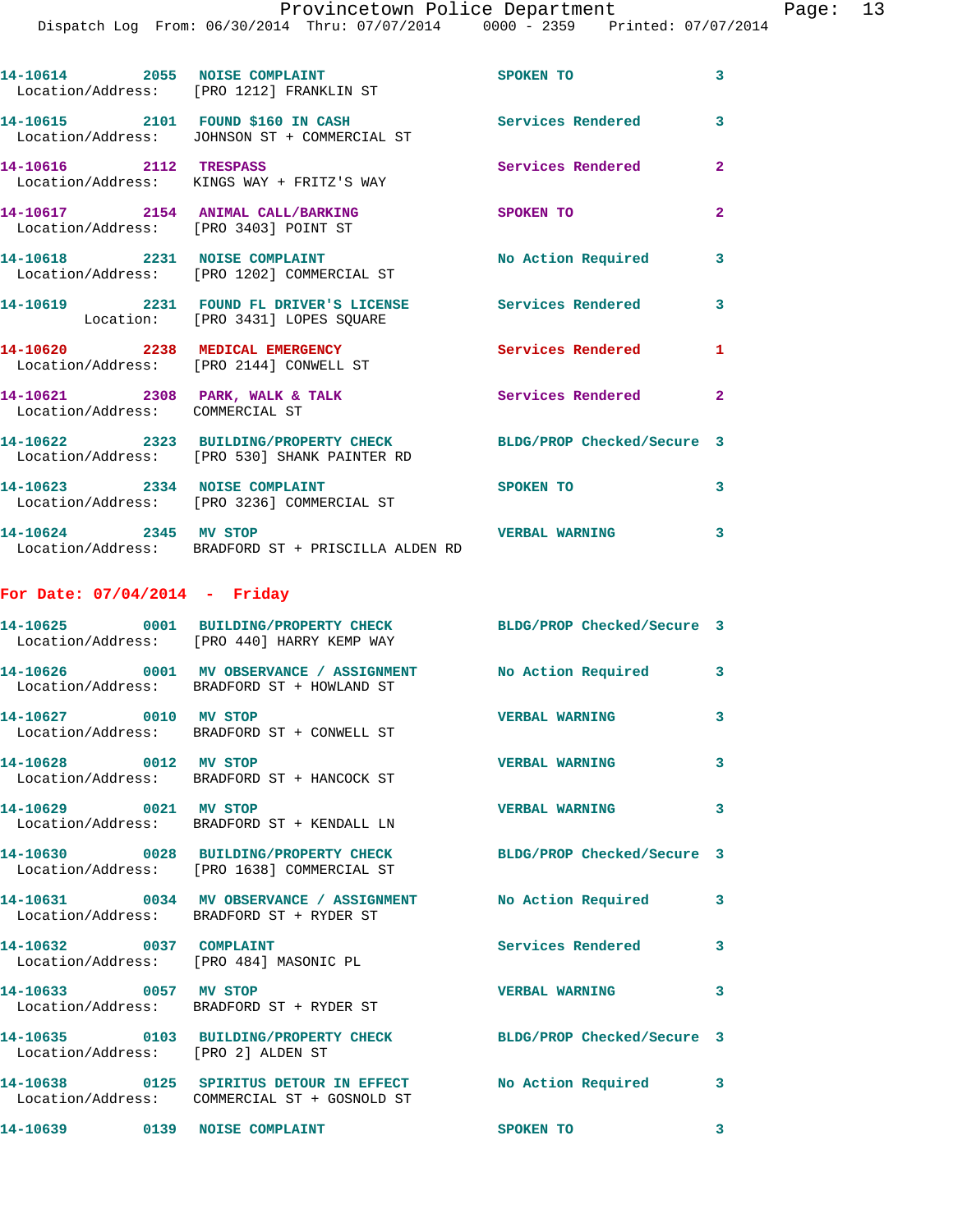| 14-10614 2055 NOISE COMPLAINT                                              | Location/Address: [PRO 1212] FRANKLIN ST                                                                         | SPOKEN TO                | $\overline{\mathbf{3}}$ |
|----------------------------------------------------------------------------|------------------------------------------------------------------------------------------------------------------|--------------------------|-------------------------|
|                                                                            | 14-10615 2101 FOUND \$160 IN CASH<br>Location/Address: JOHNSON ST + COMMERCIAL ST                                | <b>Services Rendered</b> | $\overline{3}$          |
| 14-10616 2112 TRESPASS                                                     | Location/Address: KINGS WAY + FRITZ'S WAY                                                                        | <b>Services Rendered</b> | $\overline{2}$          |
| 14-10617 2154 ANIMAL CALL/BARKING<br>Location/Address: [PRO 3403] POINT ST |                                                                                                                  | SPOKEN TO                | $\overline{2}$          |
| 14-10618 2231 NOISE COMPLAINT                                              | Location/Address: [PRO 1202] COMMERCIAL ST                                                                       | No Action Required       | $\mathbf{3}$            |
|                                                                            | 14-10619 2231 FOUND FL DRIVER'S LICENSE<br>Location: [PRO 3431] LOPES SQUARE                                     | Services Rendered        | $\overline{\mathbf{3}}$ |
|                                                                            | 14-10620 2238 MEDICAL EMERGENCY<br>Location/Address: [PRO 2144] CONWELL ST                                       | <b>Services Rendered</b> | $\mathbf{1}$            |
| Location/Address: COMMERCIAL ST                                            | 14-10621 2308 PARK, WALK & TALK                                                                                  | <b>Services Rendered</b> | $\overline{2}$          |
|                                                                            | 14-10622 2323 BUILDING/PROPERTY CHECK BLDG/PROP Checked/Secure 3<br>Location/Address: [PRO 530] SHANK PAINTER RD |                          |                         |
| 14-10623 2334 NOISE COMPLAINT                                              | Location/Address: [PRO 3236] COMMERCIAL ST                                                                       | SPOKEN TO                | 3                       |
| 14-10624 2345 MV STOP                                                      |                                                                                                                  | <b>VERBAL WARNING</b>    | 3                       |

Location/Address: BRADFORD ST + PRISCILLA ALDEN RD

## **For Date: 07/04/2014 - Friday**

|                                                                   | 14-10625 0001 BUILDING/PROPERTY CHECK<br>Location/Address: [PRO 440] HARRY KEMP WAY                        | BLDG/PROP Checked/Secure 3 |              |
|-------------------------------------------------------------------|------------------------------------------------------------------------------------------------------------|----------------------------|--------------|
|                                                                   | 14-10626 0001 MV OBSERVANCE / ASSIGNMENT<br>Location/Address: BRADFORD ST + HOWLAND ST                     | No Action Required         | $\mathbf{3}$ |
| 14-10627 0010 MV STOP                                             | Location/Address: BRADFORD ST + CONWELL ST                                                                 | <b>VERBAL WARNING</b>      | $\mathbf{3}$ |
| 14-10628 0012 MV STOP                                             | Location/Address: BRADFORD ST + HANCOCK ST                                                                 | <b>VERBAL WARNING</b>      | $\mathbf{3}$ |
| 14-10629 0021 MV STOP                                             | Location/Address: BRADFORD ST + KENDALL LN                                                                 | <b>VERBAL WARNING</b>      | $\mathbf{3}$ |
|                                                                   | 14-10630 0028 BUILDING/PROPERTY CHECK<br>Location/Address: [PRO 1638] COMMERCIAL ST                        | BLDG/PROP Checked/Secure 3 |              |
|                                                                   | 14-10631 0034 MV OBSERVANCE / ASSIGNMENT No Action Required<br>Location/Address: BRADFORD ST + RYDER ST    |                            | $\mathbf{3}$ |
| 14-10632 0037 COMPLAINT<br>Location/Address: [PRO 484] MASONIC PL |                                                                                                            | <b>Services Rendered</b>   | $\mathbf{3}$ |
|                                                                   | 14-10633 0057 MV STOP<br>Location/Address: BRADFORD ST + RYDER ST                                          | <b>VERBAL WARNING</b>      | $\mathbf{3}$ |
| Location/Address: [PRO 2] ALDEN ST                                | 14-10635 0103 BUILDING/PROPERTY CHECK                                                                      | BLDG/PROP Checked/Secure 3 |              |
|                                                                   | 14-10638 0125 SPIRITUS DETOUR IN EFFECT No Action Required<br>Location/Address: COMMERCIAL ST + GOSNOLD ST |                            | 3            |
| 14-10639 0139 NOISE COMPLAINT                                     |                                                                                                            | SPOKEN TO                  | 3            |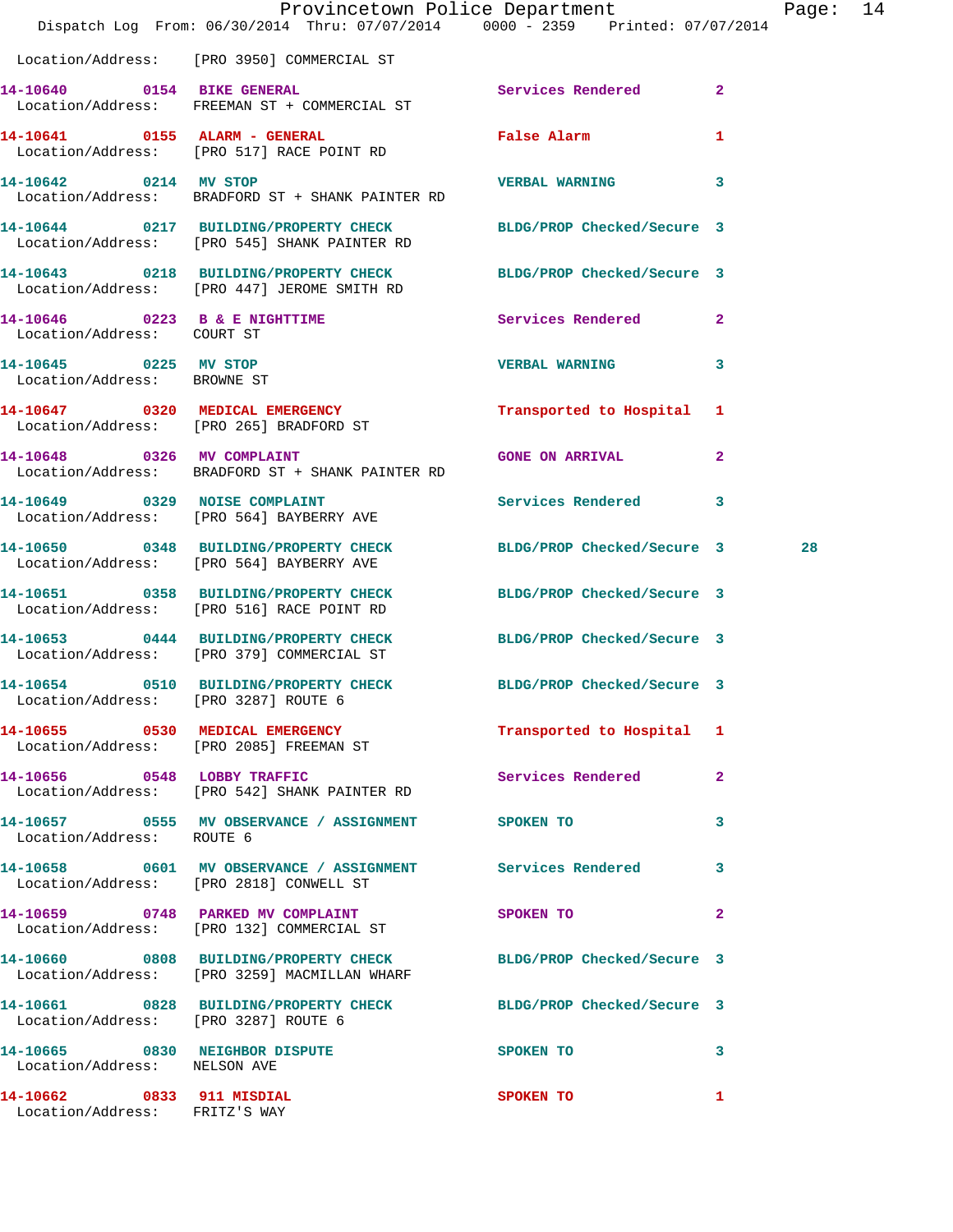|                                                             | Dispatch Log From: 06/30/2014 Thru: 07/07/2014 0000 - 2359 Printed: 07/07/2014                                   | Provincetown Police Department |              | Page: 14 |  |
|-------------------------------------------------------------|------------------------------------------------------------------------------------------------------------------|--------------------------------|--------------|----------|--|
|                                                             | Location/Address: [PRO 3950] COMMERCIAL ST                                                                       |                                |              |          |  |
|                                                             | 14-10640 0154 BIKE GENERAL<br>Location/Address: FREEMAN ST + COMMERCIAL ST                                       | Services Rendered 2            |              |          |  |
|                                                             | 14-10641 0155 ALARM - GENERAL<br>Location/Address: [PRO 517] RACE POINT RD                                       | <b>False Alarm</b>             | $\mathbf{1}$ |          |  |
| 14-10642 0214 MV STOP                                       | Location/Address: BRADFORD ST + SHANK PAINTER RD                                                                 | VERBAL WARNING 3               |              |          |  |
|                                                             | 14-10644 0217 BUILDING/PROPERTY CHECK BLDG/PROP Checked/Secure 3<br>Location/Address: [PRO 545] SHANK PAINTER RD |                                |              |          |  |
|                                                             | 14-10643 0218 BUILDING/PROPERTY CHECK BLDG/PROP Checked/Secure 3<br>Location/Address: [PRO 447] JEROME SMITH RD  |                                |              |          |  |
| 14-10646 0223 B & E NIGHTTIME<br>Location/Address: COURT ST |                                                                                                                  | <b>Services Rendered</b> 2     |              |          |  |
| 14-10645 0225 MV STOP<br>Location/Address: BROWNE ST        |                                                                                                                  | VERBAL WARNING 3               |              |          |  |
|                                                             | 14-10647 0320 MEDICAL EMERGENCY<br>Location/Address: [PRO 265] BRADFORD ST                                       | Transported to Hospital 1      |              |          |  |
|                                                             | 14-10648 0326 MV COMPLAINT<br>Location/Address: BRADFORD ST + SHANK PAINTER RD                                   | GONE ON ARRIVAL                | $\mathbf{2}$ |          |  |
|                                                             | 14-10649 0329 NOISE COMPLAINT<br>Location/Address: [PRO 564] BAYBERRY AVE                                        | Services Rendered 3            |              |          |  |
|                                                             | 14-10650 0348 BUILDING/PROPERTY CHECK BLDG/PROP Checked/Secure 3<br>Location/Address: [PRO 564] BAYBERRY AVE     |                                |              | 28       |  |
|                                                             | 14-10651 0358 BUILDING/PROPERTY CHECK BLDG/PROP Checked/Secure 3<br>Location/Address: [PRO 516] RACE POINT RD    |                                |              |          |  |
|                                                             | 14-10653 0444 BUILDING/PROPERTY CHECK BLDG/PROP Checked/Secure 3<br>Location/Address: [PRO 379] COMMERCIAL ST    |                                |              |          |  |
| Location/Address: [PRO 3287] ROUTE 6                        | 14-10654 0510 BUILDING/PROPERTY CHECK BLDG/PROP Checked/Secure 3                                                 |                                |              |          |  |
|                                                             | 14-10655 0530 MEDICAL EMERGENCY<br>Location/Address: [PRO 2085] FREEMAN ST                                       | Transported to Hospital 1      |              |          |  |
|                                                             | 14-10656 0548 LOBBY TRAFFIC<br>Location/Address: [PRO 542] SHANK PAINTER RD                                      | Services Rendered 2            |              |          |  |
| Location/Address: ROUTE 6                                   | 14-10657 0555 MV OBSERVANCE / ASSIGNMENT SPOKEN TO                                                               | $\sim$ 3                       |              |          |  |
|                                                             | 14-10658 0601 MV OBSERVANCE / ASSIGNMENT Services Rendered 3<br>Location/Address: [PRO 2818] CONWELL ST          |                                |              |          |  |
|                                                             | 14-10659 0748 PARKED MV COMPLAINT<br>Location/Address: [PRO 132] COMMERCIAL ST                                   | SPOKEN TO AND THE SPOKEN TO    | $\mathbf{2}$ |          |  |
|                                                             | 14-10660 0808 BUILDING/PROPERTY CHECK BLDG/PROP Checked/Secure 3<br>Location/Address: [PRO 3259] MACMILLAN WHARF |                                |              |          |  |
| Location/Address: [PRO 3287] ROUTE 6                        | 14-10661 0828 BUILDING/PROPERTY CHECK BLDG/PROP Checked/Secure 3                                                 |                                |              |          |  |
| Location/Address: NELSON AVE                                | 14-10665 0830 NEIGHBOR DISPUTE                                                                                   | <b>SPOKEN TO</b>               | 3            |          |  |
| 14-10662 0833 911 MISDIAL<br>Location/Address: FRITZ'S WAY  |                                                                                                                  | SPOKEN TO                      | 1            |          |  |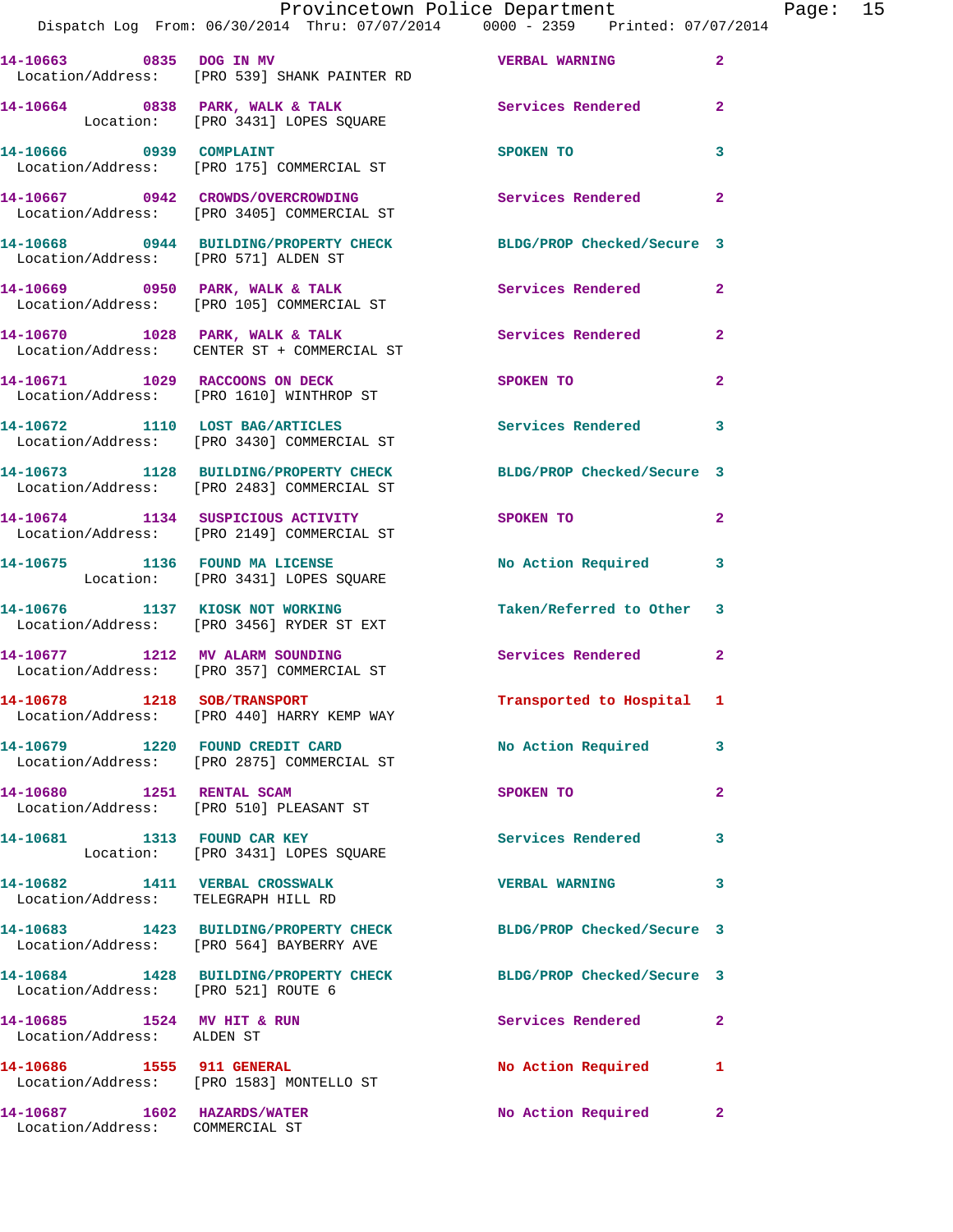|                         | Provincetown Police Department<br>Dispatch Log From: 06/30/2014 Thru: 07/07/2014 0000 - 2359 Printed: 07/07/2014 |                          |                |
|-------------------------|------------------------------------------------------------------------------------------------------------------|--------------------------|----------------|
|                         | 14-10663 6835 DOG IN MV 1999 1999 WERBAL WARNING<br>Location/Address: [PRO 539] SHANK PAINTER RD                 |                          | $\overline{2}$ |
|                         | 14-10664 0838 PARK, WALK & TALK 6 Services Rendered<br>Location: [PRO 3431] LOPES SOUARE                         |                          | $\overline{2}$ |
| 14-10666 0939 COMPLAINT | Location/Address: [PRO 175] COMMERCIAL ST                                                                        | SPOKEN TO                | 3              |
|                         | 14-10667 0942 CROWDS/OVERCROWDING<br>Location/Address: [PRO 3405] COMMERCIAL ST                                  | <b>Services Rendered</b> | $\overline{2}$ |
|                         | 14-10668 0944 BUILDING/PROPERTY CHECK BLDG/PROP Checked/Secure 3<br>Location/Address: [PRO 571] ALDEN ST         |                          |                |
|                         | 14-10669 0950 PARK, WALK & TALK Services Rendered<br>Location/Address: [PRO 105] COMMERCIAL ST                   |                          | $\overline{2}$ |
|                         | 14-10670 1028 PARK, WALK & TALK Services Rendered<br>Location/Address: CENTER ST + COMMERCIAL ST                 |                          | $\overline{2}$ |
|                         |                                                                                                                  |                          |                |

Location/Address: [PRO 1610] WINTHROP ST

Location/Address: [PRO 521] ROUTE 6

Location/Address: ALDEN ST

Location/Address: [PRO 1583] MONTELLO ST

**14-10675 1136 FOUND MA LICENSE No Action Required 3** 

**14-10676 1137 KIOSK NOT WORKING Taken/Referred to Other 3**  Location/Address: [PRO 3456] RYDER ST EXT

Location/Address: [PRO 357] COMMERCIAL ST

Location/Address: [PRO 440] HARRY KEMP WAY

Location/Address: [PRO 2875] COMMERCIAL ST

Location/Address: [PRO 510] PLEASANT ST

**14-10686 1555 911 GENERAL No Action Required 1** 

Location/Address: COMMERCIAL ST

Location/Address: [PRO 3430] COMMERCIAL ST

**14-10673 1128 BUILDING/PROPERTY CHECK BLDG/PROP Checked/Secure 3**  Location/Address: [PRO 2483] COMMERCIAL ST

Location/Address: [PRO 2149] COMMERCIAL ST

Location: [PRO 3431] LOPES SOUARE

Location: [PRO 3431] LOPES SQUARE

Location/Address: TELEGRAPH HILL RD

Location/Address: [PRO 564] BAYBERRY AVE

**14-10671 1029 RACCOONS ON DECK SPOKEN TO 2** 

**14-10672 1110 LOST BAG/ARTICLES Services Rendered 3** 

**14-10674 1134 SUSPICIOUS ACTIVITY SPOKEN TO 2** 

**14-10677 1212 MV ALARM SOUNDING Services Rendered 2** 

**14-10678 1218 SOB/TRANSPORT Transported to Hospital 1** 

**14-10679 1220 FOUND CREDIT CARD No Action Required 3** 

**14-10680 1251 RENTAL SCAM SPOKEN TO 2** 

14-10681 1313 FOUND CAR KEY **14-10681** Services Rendered 3

**14-10682 1411 VERBAL CROSSWALK VERBAL WARNING 3** 

**14-10683 1423 BUILDING/PROPERTY CHECK BLDG/PROP Checked/Secure 3** 

**14-10684 1428 BUILDING/PROPERTY CHECK BLDG/PROP Checked/Secure 3** 

**14-10685 1524 MV HIT & RUN Services Rendered 2** 

**14-10687 1602 HAZARDS/WATER No Action Required 2** 

Page: 15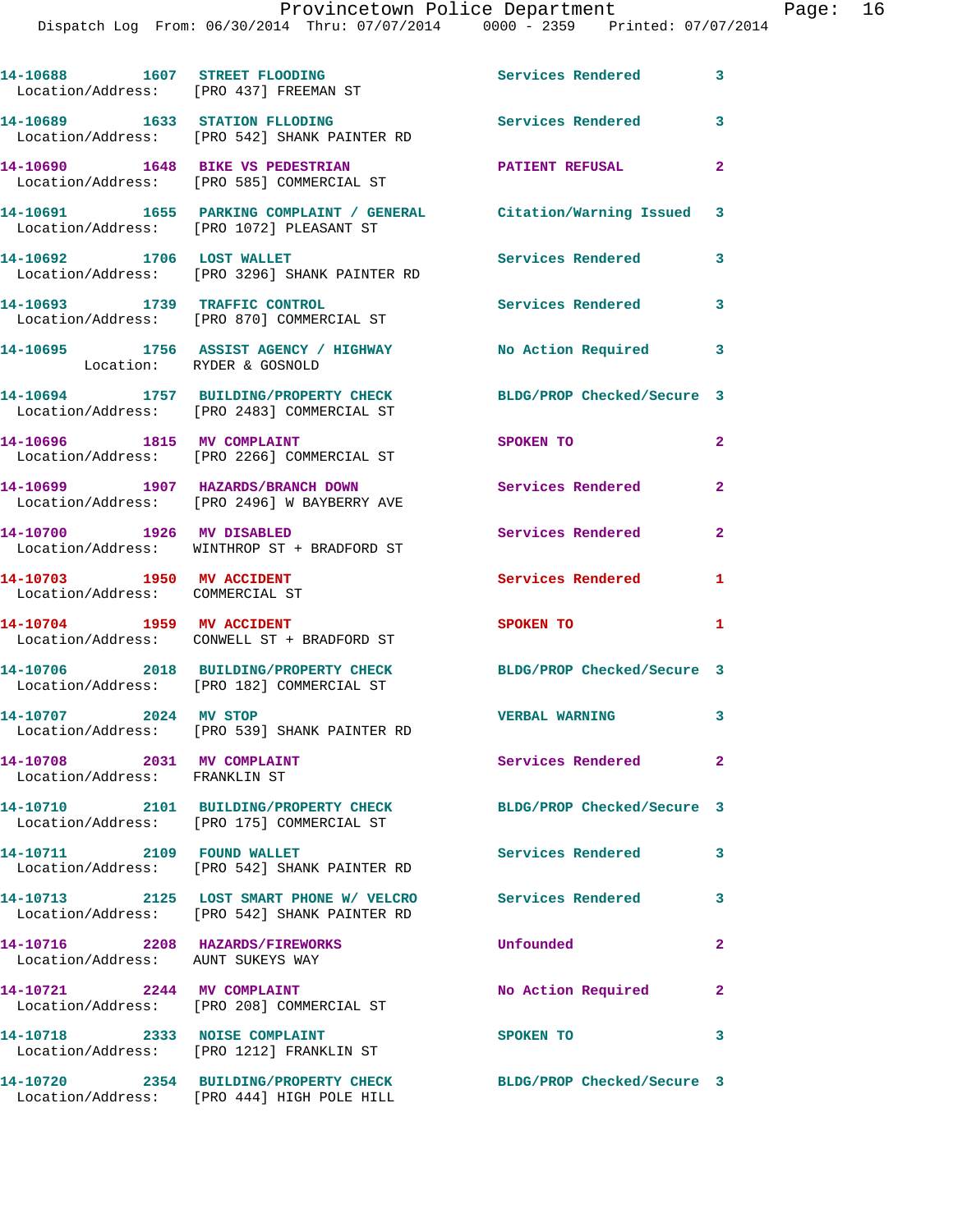| Location/Address: [PRO 437] FREEMAN ST                               | 14-10688 1607 STREET FLOODING                                                                                 | Services Rendered          | 3              |
|----------------------------------------------------------------------|---------------------------------------------------------------------------------------------------------------|----------------------------|----------------|
|                                                                      | 14-10689 1633 STATION FLLODING<br>Location/Address: [PRO 542] SHANK PAINTER RD                                | <b>Services Rendered</b>   | 3              |
|                                                                      | 14-10690 1648 BIKE VS PEDESTRIAN<br>Location/Address: [PRO 585] COMMERCIAL ST                                 | PATIENT REFUSAL            | $\mathbf{2}$   |
|                                                                      | 14-10691 1655 PARKING COMPLAINT / GENERAL Citation/Warning Issued<br>Location/Address: [PRO 1072] PLEASANT ST |                            | 3              |
| 14-10692 1706 LOST WALLET                                            | Location/Address: [PRO 3296] SHANK PAINTER RD                                                                 | Services Rendered          | 3              |
|                                                                      | 14-10693 1739 TRAFFIC CONTROL<br>Location/Address: [PRO 870] COMMERCIAL ST                                    | <b>Services Rendered</b>   | 3              |
|                                                                      | 14-10695 1756 ASSIST AGENCY / HIGHWAY<br>Location: RYDER & GOSNOLD                                            | <b>No Action Required</b>  | 3              |
|                                                                      | 14-10694 1757 BUILDING/PROPERTY CHECK<br>Location/Address: [PRO 2483] COMMERCIAL ST                           | BLDG/PROP Checked/Secure 3 |                |
| 14-10696 1815 MV COMPLAINT                                           | Location/Address: [PRO 2266] COMMERCIAL ST                                                                    | SPOKEN TO                  | $\mathbf{2}$   |
|                                                                      | 14-10699 1907 HAZARDS/BRANCH DOWN<br>Location/Address: [PRO 2496] W BAYBERRY AVE                              | <b>Services Rendered</b>   | $\overline{a}$ |
| 14-10700 1926 MV DISABLED                                            | Location/Address: WINTHROP ST + BRADFORD ST                                                                   | <b>Services Rendered</b>   | $\mathbf{2}$   |
| 14-10703 1950 MV ACCIDENT<br>Location/Address: COMMERCIAL ST         |                                                                                                               | Services Rendered          | 1              |
|                                                                      | 14-10704 1959 MV ACCIDENT<br>Location/Address: CONWELL ST + BRADFORD ST                                       | SPOKEN TO                  | 1              |
|                                                                      | 14-10706 2018 BUILDING/PROPERTY CHECK BLDG/PROP Checked/Secure 3<br>Location/Address: [PRO 182] COMMERCIAL ST |                            |                |
| 14-10707 2024 MV STOP                                                | Location/Address: [PRO 539] SHANK PAINTER RD                                                                  | <b>VERBAL WARNING</b>      | 3              |
| 14-10708 2031 MV COMPLAINT<br>Location/Address: FRANKLIN ST          |                                                                                                               | Services Rendered          | $\mathbf{2}$   |
|                                                                      | 14-10710 2101 BUILDING/PROPERTY CHECK<br>Location/Address: [PRO 175] COMMERCIAL ST                            | BLDG/PROP Checked/Secure 3 |                |
| 14-10711 2109 FOUND WALLET                                           | Location/Address: [PRO 542] SHANK PAINTER RD                                                                  | Services Rendered          | 3              |
|                                                                      | 14-10713 2125 LOST SMART PHONE W/ VELCRO<br>Location/Address: [PRO 542] SHANK PAINTER RD                      | <b>Services Rendered</b>   | 3              |
| 14-10716 2208 HAZARDS/FIREWORKS<br>Location/Address: AUNT SUKEYS WAY |                                                                                                               | Unfounded                  | $\overline{a}$ |
|                                                                      | 14-10721 2244 MV COMPLAINT<br>Location/Address: [PRO 208] COMMERCIAL ST                                       | No Action Required         | $\mathbf{2}$   |
| 14-10718 2333 NOISE COMPLAINT                                        | Location/Address: [PRO 1212] FRANKLIN ST                                                                      | SPOKEN TO                  | 3              |
|                                                                      | 14-10720 2354 BUILDING/PROPERTY CHECK                                                                         | BLDG/PROP Checked/Secure 3 |                |

Location/Address: [PRO 444] HIGH POLE HILL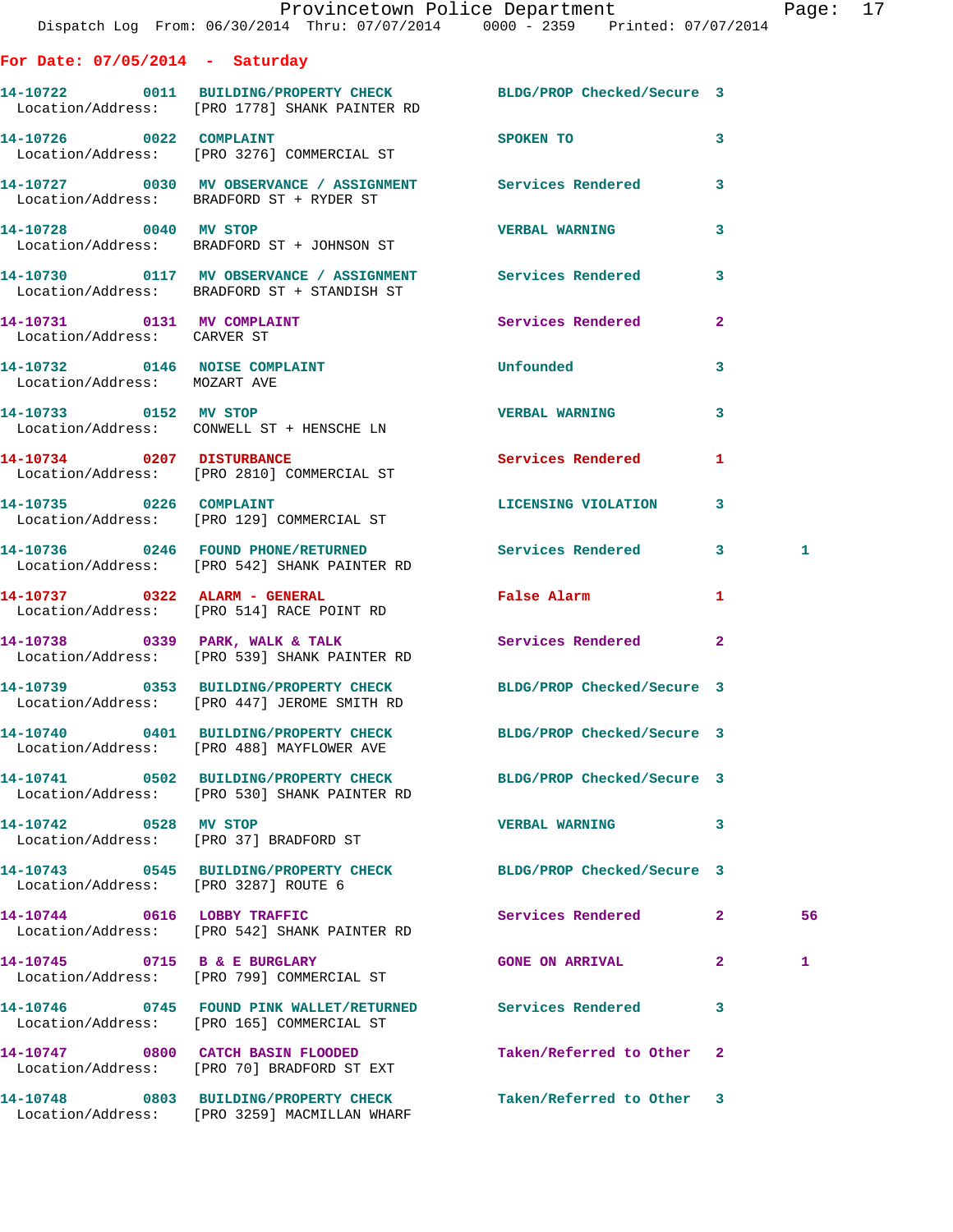|                                                           | Dispatch Log From: 06/30/2014 Thru: 07/07/2014 0000 - 2359 Printed: 07/07/2014                                    | Provincetown Police Department       |              | Page: 17 |  |
|-----------------------------------------------------------|-------------------------------------------------------------------------------------------------------------------|--------------------------------------|--------------|----------|--|
| For Date: $07/05/2014$ - Saturday                         |                                                                                                                   |                                      |              |          |  |
|                                                           | 14-10722 0011 BUILDING/PROPERTY CHECK BLDG/PROP Checked/Secure 3<br>Location/Address: [PRO 1778] SHANK PAINTER RD |                                      |              |          |  |
| 14-10726 0022 COMPLAINT                                   | Location/Address: [PRO 3276] COMMERCIAL ST                                                                        | SPOKEN TO THE STATE OF THE SPOKEN TO | 3            |          |  |
|                                                           | 14-10727 0030 MV OBSERVANCE / ASSIGNMENT Services Rendered 3<br>Location/Address: BRADFORD ST + RYDER ST          |                                      |              |          |  |
| 14-10728 0040 MV STOP                                     | Location/Address: BRADFORD ST + JOHNSON ST                                                                        | <b>VERBAL WARNING</b>                | 3            |          |  |
|                                                           | 14-10730 0117 MV OBSERVANCE / ASSIGNMENT Services Rendered<br>Location/Address: BRADFORD ST + STANDISH ST         |                                      | $\mathbf{3}$ |          |  |
| 14-10731 0131 MV COMPLAINT<br>Location/Address: CARVER ST |                                                                                                                   | Services Rendered                    | $\mathbf{2}$ |          |  |
| Location/Address: MOZART AVE                              | 14-10732 0146 NOISE COMPLAINT                                                                                     | Unfounded                            | 3            |          |  |
|                                                           | 14-10733 0152 MV STOP<br>Location/Address: CONWELL ST + HENSCHE LN                                                | <b>VERBAL WARNING</b>                | 3            |          |  |
|                                                           | 14-10734 0207 DISTURBANCE<br>Location/Address: [PRO 2810] COMMERCIAL ST                                           | Services Rendered 1                  |              |          |  |
|                                                           | 14-10735 0226 COMPLAINT<br>Location/Address: [PRO 129] COMMERCIAL ST                                              | LICENSING VIOLATION                  | 3            |          |  |
|                                                           | 14-10736 0246 FOUND PHONE/RETURNED Services Rendered 3<br>Location/Address: [PRO 542] SHANK PAINTER RD            |                                      |              | 1        |  |
|                                                           | 14-10737 0322 ALARM - GENERAL<br>Location/Address: [PRO 514] RACE POINT RD                                        | False Alarm <b>Example 20</b>        | 1            |          |  |
|                                                           | 14-10738 0339 PARK, WALK & TALK<br>Location/Address: [PRO 539] SHANK PAINTER RD                                   | Services Rendered 2                  |              |          |  |
|                                                           | 14-10739 0353 BUILDING/PROPERTY CHECK BLDG/PROP Checked/Secure 3<br>Location/Address: [PRO 447] JEROME SMITH RD   |                                      |              |          |  |
|                                                           | 14-10740 0401 BUILDING/PROPERTY CHECK BLDG/PROP Checked/Secure 3<br>Location/Address: [PRO 488] MAYFLOWER AVE     |                                      |              |          |  |
|                                                           | 14-10741 0502 BUILDING/PROPERTY CHECK<br>Location/Address: [PRO 530] SHANK PAINTER RD                             | BLDG/PROP Checked/Secure 3           |              |          |  |
| 14-10742 0528 MV STOP                                     | Location/Address: [PRO 37] BRADFORD ST                                                                            | VERBAL WARNING 3                     |              |          |  |
| Location/Address: [PRO 3287] ROUTE 6                      | 14-10743 0545 BUILDING/PROPERTY CHECK BLDG/PROP Checked/Secure 3                                                  |                                      |              |          |  |
|                                                           | 14-10744 0616 LOBBY TRAFFIC<br>Location/Address: [PRO 542] SHANK PAINTER RD                                       | Services Rendered 2                  |              | 56       |  |
|                                                           | 14-10745 0715 B & E BURGLARY<br>Location/Address: [PRO 799] COMMERCIAL ST                                         | <b>GONE ON ARRIVAL</b>               | $\mathbf{2}$ | 1        |  |
|                                                           | 14-10746 0745 FOUND PINK WALLET/RETURNED Services Rendered 3<br>Location/Address: [PRO 165] COMMERCIAL ST         |                                      |              |          |  |
|                                                           | 14-10747 0800 CATCH BASIN FLOODED<br>Location/Address: [PRO 70] BRADFORD ST EXT                                   | Taken/Referred to Other 2            |              |          |  |
|                                                           | 14-10748 0803 BUILDING/PROPERTY CHECK                                                                             | Taken/Referred to Other 3            |              |          |  |

Location/Address: [PRO 3259] MACMILLAN WHARF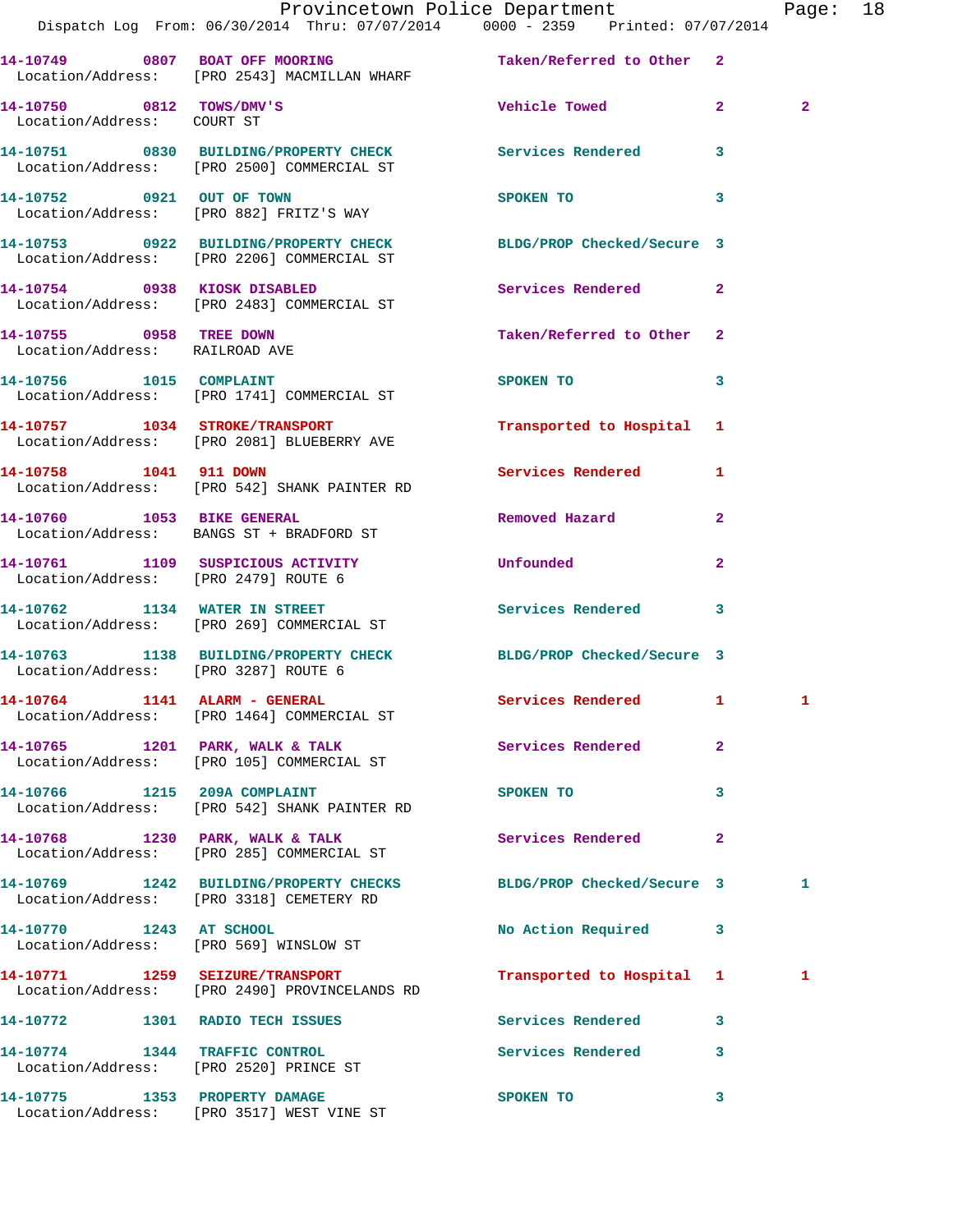|                                                           | Dispatch Log From: 06/30/2014 Thru: 07/07/2014 0000 - 2359 Printed: 07/07/2014                                 | Provincetown Police Department Page: 18                                                                        |                |                |  |
|-----------------------------------------------------------|----------------------------------------------------------------------------------------------------------------|----------------------------------------------------------------------------------------------------------------|----------------|----------------|--|
|                                                           | 14-10749 0807 BOAT OFF MOORING<br>Location/Address: [PRO 2543] MACMILLAN WHARF                                 | Taken/Referred to Other 2                                                                                      |                |                |  |
| 14-10750 0812 TOWS/DMV'S<br>Location/Address: COURT ST    |                                                                                                                | Vehicle Towed 2                                                                                                |                | $\overline{2}$ |  |
|                                                           | 14-10751 0830 BUILDING/PROPERTY CHECK Services Rendered<br>Location/Address: [PRO 2500] COMMERCIAL ST          |                                                                                                                | $\mathbf{3}$   |                |  |
|                                                           | 14-10752 0921 OUT OF TOWN<br>Location/Address: [PRO 882] FRITZ'S WAY                                           | SPOKEN TO THE STATE OF THE STATE OF THE STATE OF THE STATE OF THE STATE OF THE STATE OF THE STATE OF THE STATE | 3              |                |  |
|                                                           | 14-10753 0922 BUILDING/PROPERTY CHECK BLDG/PROP Checked/Secure 3<br>Location/Address: [PRO 2206] COMMERCIAL ST |                                                                                                                |                |                |  |
|                                                           | 14-10754 0938 KIOSK DISABLED<br>Location/Address: [PRO 2483] COMMERCIAL ST                                     | Services Rendered 2                                                                                            |                |                |  |
| 14-10755 0958 TREE DOWN<br>Location/Address: RAILROAD AVE |                                                                                                                | Taken/Referred to Other 2                                                                                      |                |                |  |
|                                                           | 14-10756 1015 COMPLAINT<br>Location/Address: [PRO 1741] COMMERCIAL ST                                          | SPOKEN TO                                                                                                      | 3              |                |  |
|                                                           | 14-10757 1034 STROKE/TRANSPORT<br>Location/Address: [PRO 2081] BLUEBERRY AVE                                   | Transported to Hospital 1                                                                                      |                |                |  |
|                                                           | 14-10758 1041 911 DOWN<br>Location/Address: [PRO 542] SHANK PAINTER RD                                         | Services Rendered                                                                                              | $\mathbf{1}$   |                |  |
|                                                           | 14-10760 1053 BIKE GENERAL<br>Location/Address: BANGS ST + BRADFORD ST                                         | Removed Hazard                                                                                                 | $\overline{2}$ |                |  |
| Location/Address: [PRO 2479] ROUTE 6                      | 14-10761 1109 SUSPICIOUS ACTIVITY                                                                              | <b>Unfounded</b>                                                                                               | $\mathbf{2}$   |                |  |
|                                                           | 14-10762 1134 WATER IN STREET<br>Location/Address: [PRO 269] COMMERCIAL ST                                     | Services Rendered 3                                                                                            |                |                |  |
| Location/Address: [PRO 3287] ROUTE 6                      | 14-10763 1138 BUILDING/PROPERTY CHECK BLDG/PROP Checked/Secure 3                                               |                                                                                                                |                |                |  |
|                                                           | 14-10764 1141 ALARM - GENERAL<br>Location/Address: [PRO 1464] COMMERCIAL ST                                    | Services Rendered 1                                                                                            |                | $\mathbf{I}$   |  |
|                                                           | 14-10765 1201 PARK, WALK & TALK Services Rendered<br>Location/Address: [PRO 105] COMMERCIAL ST                 |                                                                                                                | $\overline{2}$ |                |  |
|                                                           | 14-10766 1215 209A COMPLAINT<br>Location/Address: [PRO 542] SHANK PAINTER RD                                   | SPOKEN TO                                                                                                      | 3              |                |  |
|                                                           | 14-10768 1230 PARK, WALK & TALK<br>Location/Address: [PRO 285] COMMERCIAL ST                                   | Services Rendered                                                                                              | $\mathbf{2}$   |                |  |
|                                                           | 14-10769 1242 BUILDING/PROPERTY CHECKS BLDG/PROP Checked/Secure 3<br>Location/Address: [PRO 3318] CEMETERY RD  |                                                                                                                |                | 1              |  |
|                                                           | 14-10770 1243 AT SCHOOL<br>Location/Address: [PRO 569] WINSLOW ST                                              | No Action Required 3                                                                                           |                |                |  |
|                                                           | 14-10771 1259 SEIZURE/TRANSPORT<br>Location/Address: [PRO 2490] PROVINCELANDS RD                               | Transported to Hospital 1                                                                                      |                | 1              |  |
|                                                           | 14-10772 1301 RADIO TECH ISSUES                                                                                | Services Rendered 3                                                                                            |                |                |  |
| 14-10774 1344 TRAFFIC CONTROL                             | Location/Address: [PRO 2520] PRINCE ST                                                                         | Services Rendered 3                                                                                            |                |                |  |
|                                                           | 14-10775 1353 PROPERTY DAMAGE<br>Location/Address: [PRO 3517] WEST VINE ST                                     | SPOKEN TO                                                                                                      | 3              |                |  |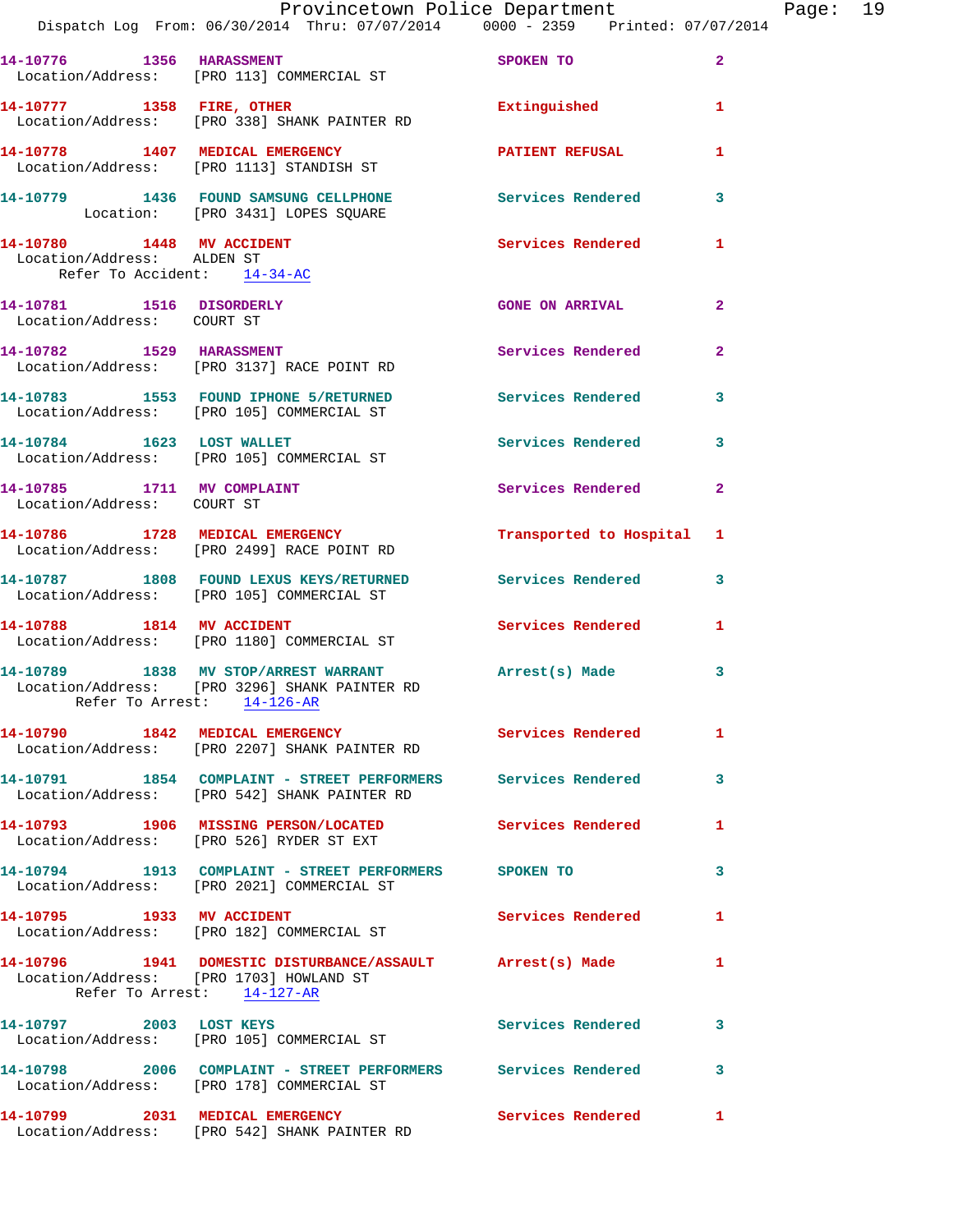|                                                                                        | Dispatch Log From: 06/30/2014 Thru: 07/07/2014 0000 - 2359 Printed: 07/07/2014                                                     | Provincetown Police Department                                                                                                                                                                                                |                         | Page: 19 |  |
|----------------------------------------------------------------------------------------|------------------------------------------------------------------------------------------------------------------------------------|-------------------------------------------------------------------------------------------------------------------------------------------------------------------------------------------------------------------------------|-------------------------|----------|--|
|                                                                                        | 14-10776 1356 HARASSMENT<br>Location/Address: [PRO 113] COMMERCIAL ST                                                              | SPOKEN TO THE STATE OF THE STATE OF THE STATE OF THE STATE OF THE STATE OF THE STATE OF THE STATE OF THE STATE OF THE STATE OF THE STATE OF THE STATE OF THE STATE OF THE STATE OF THE STATE OF THE STATE OF THE STATE OF THE | $\overline{2}$          |          |  |
|                                                                                        | 14-10777 1358 FIRE, OTHER<br>Location/Address: [PRO 338] SHANK PAINTER RD                                                          | Extinguished 1                                                                                                                                                                                                                |                         |          |  |
|                                                                                        | 14-10778 1407 MEDICAL EMERGENCY<br>Location/Address: [PRO 1113] STANDISH ST                                                        | PATIENT REFUSAL                                                                                                                                                                                                               | 1                       |          |  |
|                                                                                        | 14-10779 1436 FOUND SAMSUNG CELLPHONE Services Rendered<br>Location: [PRO 3431] LOPES SQUARE                                       |                                                                                                                                                                                                                               | 3                       |          |  |
| 14-10780 1448 MV ACCIDENT<br>Location/Address: ALDEN ST<br>Refer To Accident: 14-34-AC |                                                                                                                                    | Services Rendered 1                                                                                                                                                                                                           |                         |          |  |
| 14-10781 1516 DISORDERLY<br>Location/Address: COURT ST                                 |                                                                                                                                    | <b>GONE ON ARRIVAL</b>                                                                                                                                                                                                        | $\mathbf{2}$            |          |  |
|                                                                                        | 14-10782 1529 HARASSMENT<br>Location/Address: [PRO 3137] RACE POINT RD                                                             | Services Rendered 2                                                                                                                                                                                                           |                         |          |  |
|                                                                                        | 14-10783 1553 FOUND IPHONE 5/RETURNED Services Rendered<br>Location/Address: [PRO 105] COMMERCIAL ST                               |                                                                                                                                                                                                                               | $\mathbf{3}$            |          |  |
|                                                                                        | 14-10784 1623 LOST WALLET<br>Location/Address: [PRO 105] COMMERCIAL ST                                                             | Services Rendered 3                                                                                                                                                                                                           |                         |          |  |
| Location/Address: COURT ST                                                             | 14-10785 1711 MV COMPLAINT                                                                                                         | Services Rendered                                                                                                                                                                                                             | $\mathbf{2}$            |          |  |
|                                                                                        | 14-10786 1728 MEDICAL EMERGENCY<br>Location/Address: [PRO 2499] RACE POINT RD                                                      | Transported to Hospital 1                                                                                                                                                                                                     |                         |          |  |
|                                                                                        | 14-10787 1808 FOUND LEXUS KEYS/RETURNED Services Rendered 3<br>Location/Address: [PRO 105] COMMERCIAL ST                           |                                                                                                                                                                                                                               |                         |          |  |
|                                                                                        | 14-10788 1814 MV ACCIDENT<br>Location/Address: [PRO 1180] COMMERCIAL ST                                                            | <b>Services Rendered</b>                                                                                                                                                                                                      | $\mathbf{1}$            |          |  |
|                                                                                        | 14-10789 1838 MV STOP/ARREST WARRANT Arrest(s) Made<br>Location/Address: [PRO 3296] SHANK PAINTER RD<br>Refer To Arrest: 14-126-AR |                                                                                                                                                                                                                               | $\overline{\mathbf{3}}$ |          |  |
|                                                                                        | 14-10790 1842 MEDICAL EMERGENCY Services Rendered 1<br>Location/Address: [PRO 2207] SHANK PAINTER RD                               |                                                                                                                                                                                                                               |                         |          |  |
|                                                                                        | 14-10791 1854 COMPLAINT - STREET PERFORMERS Services Rendered 3<br>Location/Address: [PRO 542] SHANK PAINTER RD                    |                                                                                                                                                                                                                               |                         |          |  |
|                                                                                        | 14-10793 1906 MISSING PERSON/LOCATED Services Rendered 1<br>Location/Address: [PRO 526] RYDER ST EXT                               |                                                                                                                                                                                                                               |                         |          |  |
|                                                                                        | 14-10794 1913 COMPLAINT - STREET PERFORMERS SPOKEN TO<br>Location/Address: [PRO 2021] COMMERCIAL ST                                |                                                                                                                                                                                                                               | 3                       |          |  |
|                                                                                        | 14-10795 1933 MV ACCIDENT<br>Location/Address: [PRO 182] COMMERCIAL ST                                                             | Services Rendered                                                                                                                                                                                                             | $\mathbf{1}$            |          |  |
| Location/Address: [PRO 1703] HOWLAND ST                                                | 14-10796 1941 DOMESTIC DISTURBANCE/ASSAULT Arrest(s) Made<br>Refer To Arrest: 14-127-AR                                            |                                                                                                                                                                                                                               | 1                       |          |  |
|                                                                                        | 14-10797 2003 LOST KEYS<br>Location/Address: [PRO 105] COMMERCIAL ST                                                               | Services Rendered                                                                                                                                                                                                             | 3                       |          |  |
|                                                                                        | 14-10798 2006 COMPLAINT - STREET PERFORMERS Services Rendered 3<br>Location/Address: [PRO 178] COMMERCIAL ST                       |                                                                                                                                                                                                                               |                         |          |  |
|                                                                                        | 14-10799 2031 MEDICAL EMERGENCY<br>Location/Address: [PRO 542] SHANK PAINTER RD                                                    | Services Rendered                                                                                                                                                                                                             | $\mathbf{1}$            |          |  |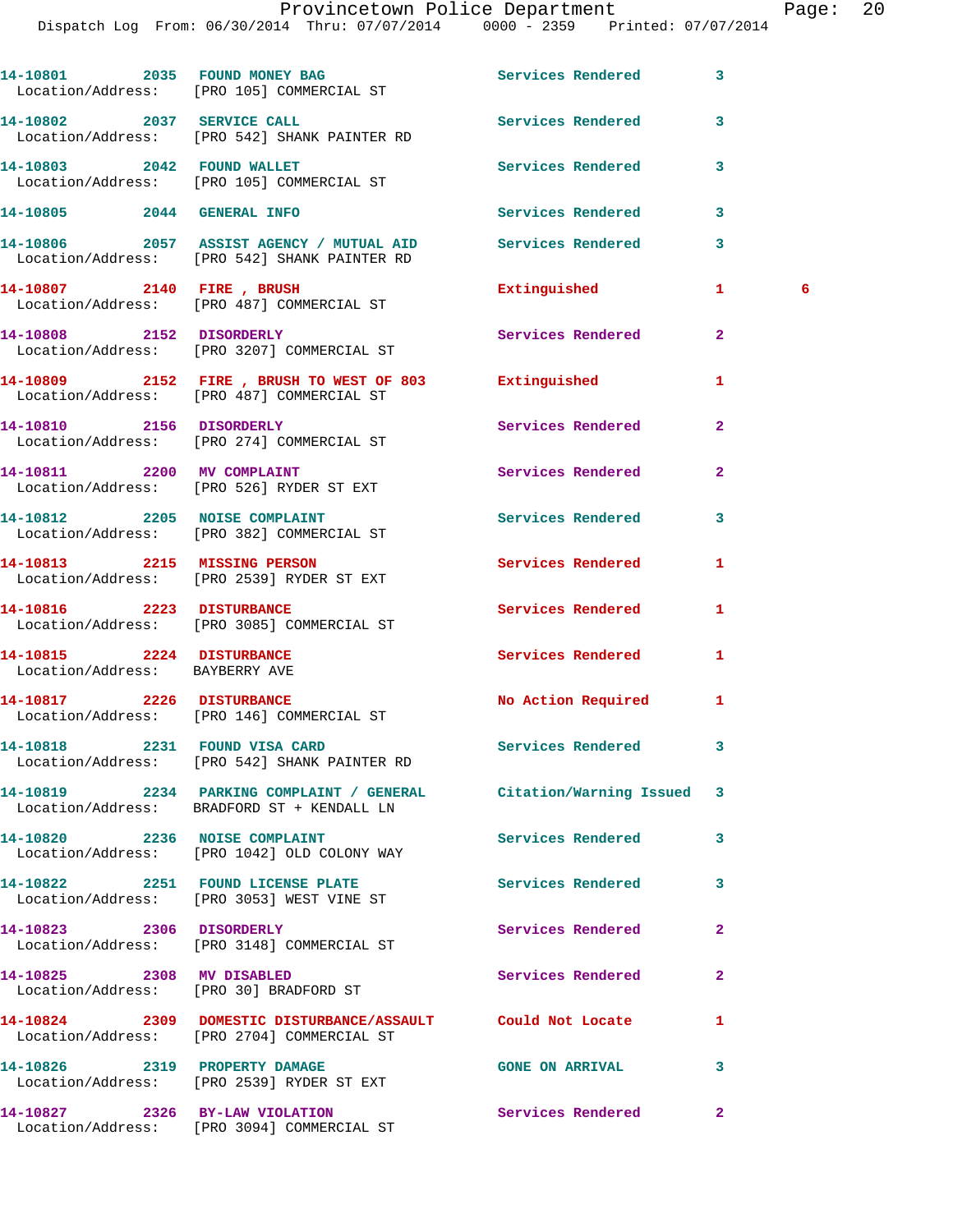Dispatch Log From: 06/30/2014 Thru: 07/07/2014 0000 - 2359 Printed: 07/07/2014

14-10801 2035 FOUND MONEY BAG **Services Rendered** 3 Location/Address: [PRO 105] COMMERCIAL ST **14-10802 2037 SERVICE CALL Services Rendered 3**  Location/Address: [PRO 542] SHANK PAINTER RD **14-10803 2042 FOUND WALLET Services Rendered 3**  Location/Address: [PRO 105] COMMERCIAL ST **14-10805 2044 GENERAL INFO Services Rendered 3 14-10806 2057 ASSIST AGENCY / MUTUAL AID Services Rendered 3**  Location/Address: [PRO 542] SHANK PAINTER RD **14-10807 2140 FIRE , BRUSH Extinguished 1 6**  Location/Address: [PRO 487] COMMERCIAL ST **14-10808 2152 DISORDERLY Services Rendered 2**  Location/Address: [PRO 3207] COMMERCIAL ST **14-10809 2152 FIRE , BRUSH TO WEST OF 803 Extinguished 1**  Location/Address: [PRO 487] COMMERCIAL ST **14-10810 2156 DISORDERLY Services Rendered 2**  Location/Address: [PRO 274] COMMERCIAL ST **14-10811 2200 MV COMPLAINT Services Rendered 2**  Location/Address: [PRO 526] RYDER ST EXT 14-10812 2205 NOISE COMPLAINT **14-10812** Services Rendered 3 Location/Address: [PRO 382] COMMERCIAL ST **14-10813 2215 MISSING PERSON Services Rendered 1**  Location/Address: [PRO 2539] RYDER ST EXT **14-10816 2223 DISTURBANCE Services Rendered 1**  Location/Address: [PRO 3085] COMMERCIAL ST **14-10815 2224 DISTURBANCE Services Rendered 1**  Location/Address: BAYBERRY AVE **14-10817 2226 DISTURBANCE No Action Required 1**  Location/Address: [PRO 146] COMMERCIAL ST **14-10818 2231 FOUND VISA CARD Services Rendered 3**  Location/Address: [PRO 542] SHANK PAINTER RD **14-10819 2234 PARKING COMPLAINT / GENERAL Citation/Warning Issued 3**  Location/Address: BRADFORD ST + KENDALL LN 14-10820 2236 NOISE COMPLAINT **Services Rendered** 3 Location/Address: [PRO 1042] OLD COLONY WAY **14-10822 2251 FOUND LICENSE PLATE Services Rendered 3**  Location/Address: [PRO 3053] WEST VINE ST **14-10823 2306 DISORDERLY Services Rendered 2**  Location/Address: [PRO 3148] COMMERCIAL ST **14-10825 2308 MV DISABLED Services Rendered 2**  Location/Address: [PRO 30] BRADFORD ST **14-10824 2309 DOMESTIC DISTURBANCE/ASSAULT Could Not Locate 1**  Location/Address: [PRO 2704] COMMERCIAL ST **14-10826 2319 PROPERTY DAMAGE GONE ON ARRIVAL 3**  Location/Address: [PRO 2539] RYDER ST EXT **14-10827 2326 BY-LAW VIOLATION Services Rendered 2** 

Location/Address: [PRO 3094] COMMERCIAL ST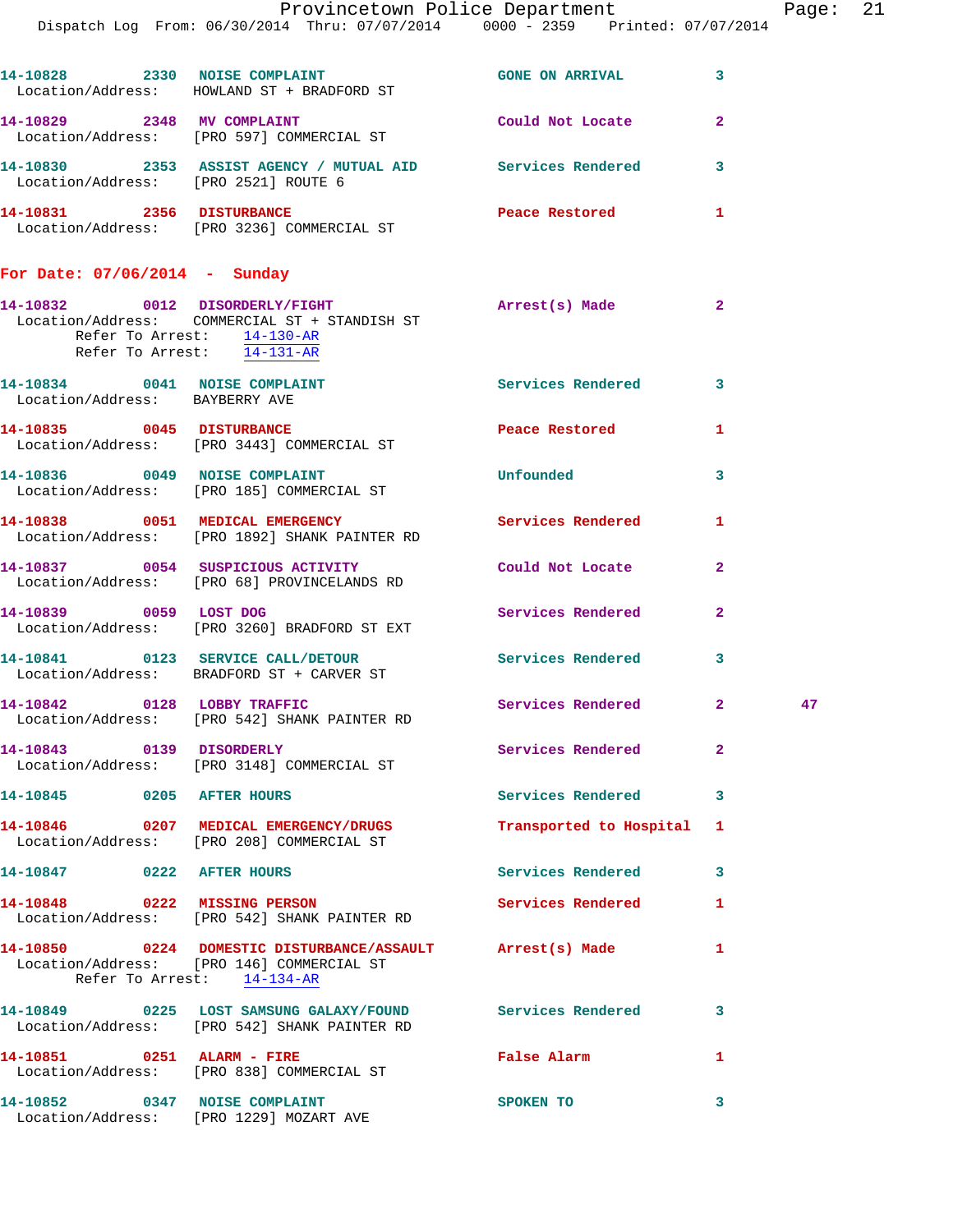|                                                                 |                                                                                                           | Provincetown Police Department Page: 21 |                |    |  |
|-----------------------------------------------------------------|-----------------------------------------------------------------------------------------------------------|-----------------------------------------|----------------|----|--|
|                                                                 | Dispatch Log From: 06/30/2014 Thru: 07/07/2014 0000 - 2359 Printed: 07/07/2014                            |                                         |                |    |  |
|                                                                 | 14-10828 2330 NOISE COMPLAINT<br>Location/Address: HOWLAND ST + BRADFORD ST                               | GONE ON ARRIVAL 3                       |                |    |  |
|                                                                 | 14-10829 2348 MV COMPLAINT<br>Location/Address: [PRO 597] COMMERCIAL ST                                   | Could Not Locate                        | $\overline{2}$ |    |  |
| Location/Address: [PRO 2521] ROUTE 6                            | 14-10830 2353 ASSIST AGENCY / MUTUAL AID Services Rendered 3                                              |                                         |                |    |  |
|                                                                 | 14-10831 2356 DISTURBANCE<br>Location/Address: [PRO 3236] COMMERCIAL ST                                   | Peace Restored and the Peace Restored   | 1              |    |  |
| For Date: $07/06/2014$ - Sunday                                 |                                                                                                           |                                         |                |    |  |
| Refer To Arrest: 14-130-AR<br>Refer To Arrest: 14-131-AR        | 14-10832 0012 DISORDERLY/FIGHT<br>Location/Address: COMMERCIAL ST + STANDISH ST                           | Arrest(s) Made                          | 2              |    |  |
| 14-10834 0041 NOISE COMPLAINT<br>Location/Address: BAYBERRY AVE |                                                                                                           | Services Rendered                       | $\mathbf{3}$   |    |  |
|                                                                 | 14-10835 0045 DISTURBANCE<br>Location/Address: [PRO 3443] COMMERCIAL ST                                   | Peace Restored                          | $\mathbf{1}$   |    |  |
|                                                                 | 14-10836 0049 NOISE COMPLAINT<br>Location/Address: [PRO 185] COMMERCIAL ST                                | Unfounded                               | 3              |    |  |
|                                                                 | 14-10838 0051 MEDICAL EMERGENCY<br>Location/Address: [PRO 1892] SHANK PAINTER RD                          | Services Rendered 1                     |                |    |  |
|                                                                 | 14-10837 0054 SUSPICIOUS ACTIVITY<br>Location/Address: [PRO 68] PROVINCELANDS RD                          | Could Not Locate                        | $\mathbf{2}$   |    |  |
| 14-10839 0059 LOST DOG                                          | Location/Address: [PRO 3260] BRADFORD ST EXT                                                              | Services Rendered 2                     |                |    |  |
|                                                                 | 14-10841  0123 SERVICE CALL/DETOUR  Services Rendered<br>Location/Address: BRADFORD ST + CARVER ST        |                                         | 3              |    |  |
| 14-10842 0128 LOBBY TRAFFIC                                     | Location/Address: [PRO 542] SHANK PAINTER RD                                                              | Services Rendered                       | $2^{\circ}$    | 47 |  |
| 14-10843 0139 DISORDERLY                                        | Location/Address: [PRO 3148] COMMERCIAL ST                                                                | Services Rendered                       | $\mathbf{2}$   |    |  |
| 14-10845 0205 AFTER HOURS                                       |                                                                                                           | Services Rendered 3                     |                |    |  |
|                                                                 | 14-10846 0207 MEDICAL EMERGENCY/DRUGS<br>Location/Address: [PRO 208] COMMERCIAL ST                        | Transported to Hospital 1               |                |    |  |
| 14-10847 0222 AFTER HOURS                                       |                                                                                                           | Services Rendered                       | 3              |    |  |
|                                                                 | 14-10848 0222 MISSING PERSON<br>Location/Address: [PRO 542] SHANK PAINTER RD                              | Services Rendered                       | $\mathbf{1}$   |    |  |
| Refer To Arrest: 14-134-AR                                      | 14-10850 0224 DOMESTIC DISTURBANCE/ASSAULT Arrest(s) Made<br>Location/Address: [PRO 146] COMMERCIAL ST    |                                         | 1              |    |  |
|                                                                 | 14-10849 0225 LOST SAMSUNG GALAXY/FOUND Services Rendered<br>Location/Address: [PRO 542] SHANK PAINTER RD |                                         | 3              |    |  |
|                                                                 | 14-10851 0251 ALARM - FIRE<br>Location/Address: [PRO 838] COMMERCIAL ST                                   | False Alarm                             | 1              |    |  |
| 14-10852 0347 NOISE COMPLAINT                                   | Location/Address: [PRO 1229] MOZART AVE                                                                   | SPOKEN TO                               | 3              |    |  |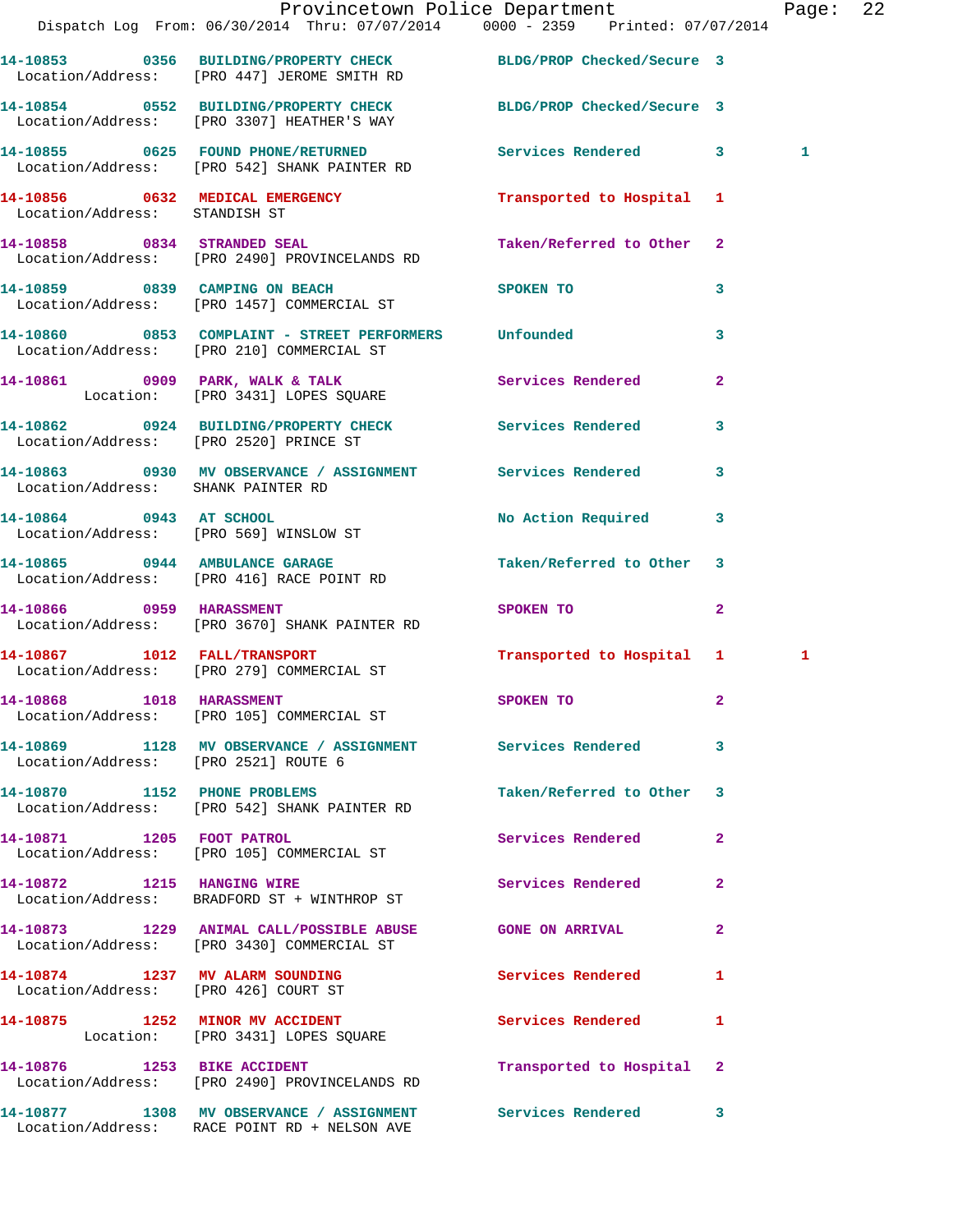|                                      | Provincetown Police Department Page: 22<br>Dispatch Log From: 06/30/2014 Thru: 07/07/2014 0000 - 2359 Printed: 07/07/2014 |                             |                |              |  |
|--------------------------------------|---------------------------------------------------------------------------------------------------------------------------|-----------------------------|----------------|--------------|--|
|                                      | 14-10853 0356 BUILDING/PROPERTY CHECK BLDG/PROP Checked/Secure 3<br>Location/Address: [PRO 447] JEROME SMITH RD           |                             |                |              |  |
|                                      | 14-10854 0552 BUILDING/PROPERTY CHECK BLDG/PROP Checked/Secure 3<br>Location/Address: [PRO 3307] HEATHER'S WAY            |                             |                |              |  |
|                                      |                                                                                                                           |                             |                | $\mathbf{1}$ |  |
| Location/Address: STANDISH ST        | 14-10856 0632 MEDICAL EMERGENCY                                                                                           | Transported to Hospital 1   |                |              |  |
|                                      | 14-10858 0834 STRANDED SEAL<br>Location/Address: [PRO 2490] PROVINCELANDS RD                                              | Taken/Referred to Other 2   |                |              |  |
|                                      | 14-10859 0839 CAMPING ON BEACH<br>Location/Address: [PRO 1457] COMMERCIAL ST                                              | SPOKEN TO                   | 3              |              |  |
|                                      | 14-10860 0853 COMPLAINT - STREET PERFORMERS Unfounded<br>Location/Address: [PRO 210] COMMERCIAL ST                        |                             | 3              |              |  |
|                                      | 14-10861 0909 PARK, WALK & TALK<br>Location: [PRO 3431] LOPES SQUARE                                                      | Services Rendered           | $\mathbf{2}$   |              |  |
|                                      | 14-10862 0924 BUILDING/PROPERTY CHECK Services Rendered 3<br>Location/Address: [PRO 2520] PRINCE ST                       |                             |                |              |  |
| Location/Address: SHANK PAINTER RD   | 14-10863 0930 MV OBSERVANCE / ASSIGNMENT Services Rendered                                                                |                             | 3              |              |  |
|                                      | 14-10864 0943 AT SCHOOL<br>Location/Address: [PRO 569] WINSLOW ST                                                         | No Action Required 3        |                |              |  |
|                                      | 14-10865 0944 AMBULANCE GARAGE<br>Location/Address: [PRO 416] RACE POINT RD                                               | Taken/Referred to Other 3   |                |              |  |
| 14-10866 0959 HARASSMENT             | Location/Address: [PRO 3670] SHANK PAINTER RD                                                                             | SPOKEN TO AND THE SPOKEN TO | $\overline{2}$ |              |  |
|                                      | 14-10867 1012 FALL/TRANSPORT<br>Location/Address: [PRO 279] COMMERCIAL ST                                                 | Transported to Hospital 1   |                | 1            |  |
|                                      | 14-10868 1018 HARASSMENT<br>Location/Address: [PRO 105] COMMERCIAL ST                                                     | SPOKEN TO                   |                |              |  |
| Location/Address: [PRO 2521] ROUTE 6 | 14-10869 1128 MV OBSERVANCE / ASSIGNMENT Services Rendered 3                                                              |                             |                |              |  |
|                                      | 14-10870 1152 PHONE PROBLEMS<br>Location/Address: [PRO 542] SHANK PAINTER RD                                              | Taken/Referred to Other 3   |                |              |  |
|                                      | 14-10871 1205 FOOT PATROL<br>Location/Address: [PRO 105] COMMERCIAL ST                                                    | Services Rendered           | $\mathbf{2}$   |              |  |
| 14-10872 1215 HANGING WIRE           | Location/Address: BRADFORD ST + WINTHROP ST                                                                               | Services Rendered 2         |                |              |  |
|                                      | 14-10873 1229 ANIMAL CALL/POSSIBLE ABUSE GONE ON ARRIVAL<br>Location/Address: [PRO 3430] COMMERCIAL ST                    |                             | $\mathbf{2}$   |              |  |
|                                      | 14-10874 1237 MV ALARM SOUNDING Services Rendered 1<br>Location/Address: [PRO 426] COURT ST                               |                             |                |              |  |
|                                      | 14-10875 1252 MINOR MV ACCIDENT<br>Location: [PRO 3431] LOPES SQUARE                                                      | Services Rendered 1         |                |              |  |
| 14-10876 1253 BIKE ACCIDENT          | Location/Address: [PRO 2490] PROVINCELANDS RD                                                                             | Transported to Hospital 2   |                |              |  |
|                                      | 14-10877 1308 MV OBSERVANCE / ASSIGNMENT Services Rendered 3                                                              |                             |                |              |  |

Location/Address: RACE POINT RD + NELSON AVE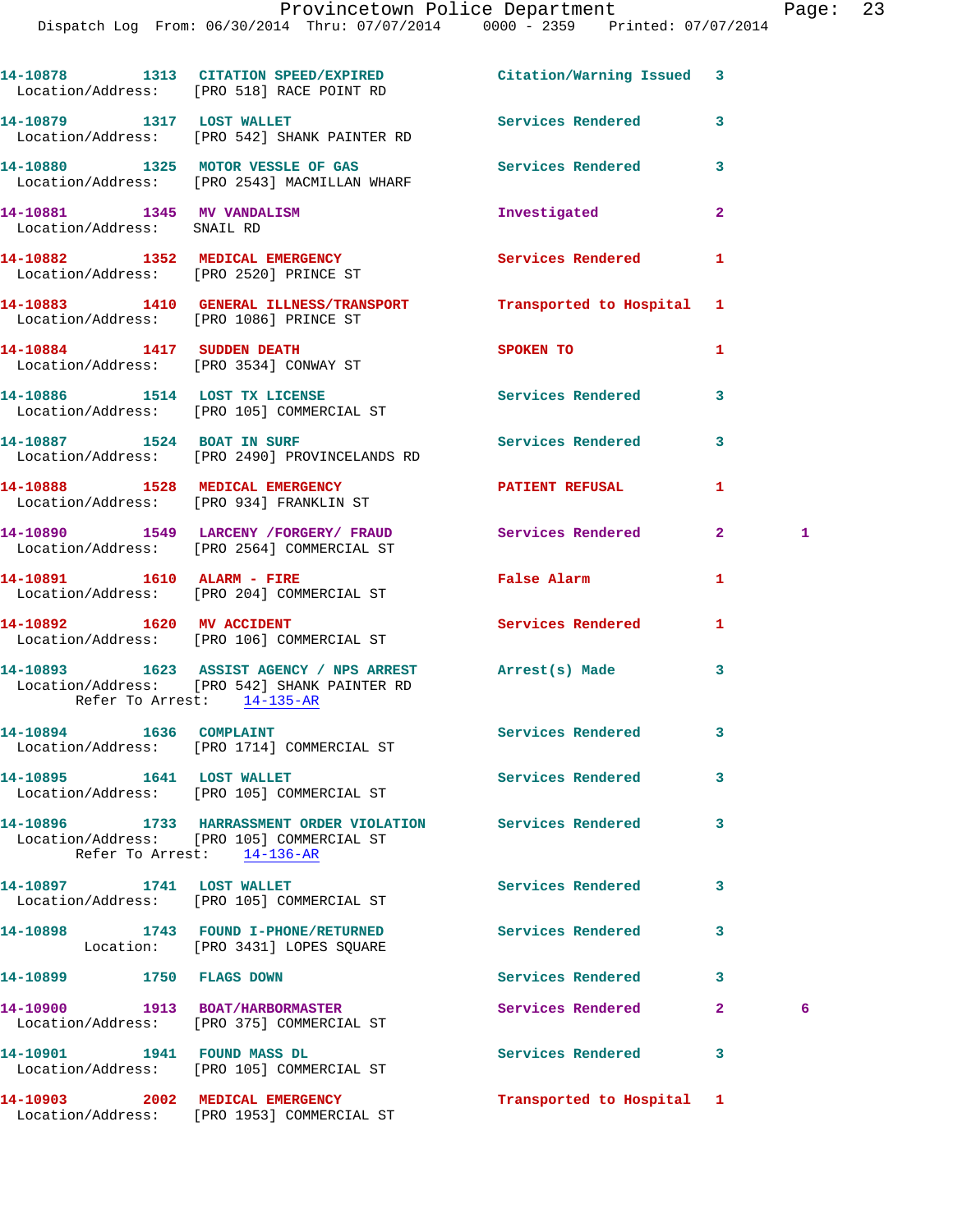|                                                          | 14-10878 1313 CITATION SPEED/EXPIRED Citation/Warning Issued 3<br>Location/Address: [PRO 518] RACE POINT RD                            |                           |                |   |
|----------------------------------------------------------|----------------------------------------------------------------------------------------------------------------------------------------|---------------------------|----------------|---|
|                                                          | 14-10879 1317 LOST WALLET<br>Location/Address: [PRO 542] SHANK PAINTER RD                                                              | Services Rendered 3       |                |   |
|                                                          | 14-10880 1325 MOTOR VESSLE OF GAS<br>Location/Address: [PRO 2543] MACMILLAN WHARF                                                      | <b>Services Rendered</b>  | 3              |   |
| 14-10881 1345 MV VANDALISM<br>Location/Address: SNAIL RD |                                                                                                                                        | Investigated              | $\overline{2}$ |   |
|                                                          | 14-10882 1352 MEDICAL EMERGENCY<br>Location/Address: [PRO 2520] PRINCE ST                                                              | <b>Services Rendered</b>  | 1              |   |
| Location/Address: [PRO 1086] PRINCE ST                   | 14-10883 1410 GENERAL ILLNESS/TRANSPORT                                                                                                | Transported to Hospital 1 |                |   |
|                                                          | 14-10884 1417 SUDDEN DEATH<br>Location/Address: [PRO 3534] CONWAY ST                                                                   | <b>SPOKEN TO</b>          | 1              |   |
|                                                          | 14-10886 1514 LOST TX LICENSE<br>Location/Address: [PRO 105] COMMERCIAL ST                                                             | <b>Services Rendered</b>  | 3              |   |
|                                                          | 14-10887 1524 BOAT IN SURF<br>Location/Address: [PRO 2490] PROVINCELANDS RD                                                            | <b>Services Rendered</b>  | 3              |   |
|                                                          | 14-10888 1528 MEDICAL EMERGENCY<br>Location/Address: [PRO 934] FRANKLIN ST                                                             | <b>PATIENT REFUSAL</b>    | $\mathbf{1}$   |   |
|                                                          | 14-10890 1549 LARCENY /FORGERY / FRAUD Services Rendered 2<br>Location/Address: [PRO 2564] COMMERCIAL ST                               |                           |                | 1 |
|                                                          | 14-10891 1610 ALARM - FIRE<br>Location/Address: [PRO 204] COMMERCIAL ST                                                                | False Alarm               | 1              |   |
| 14-10892 1620 MV ACCIDENT                                | Location/Address: [PRO 106] COMMERCIAL ST                                                                                              | Services Rendered         | 1              |   |
| Refer To Arrest: 14-135-AR                               | 14-10893 1623 ASSIST AGENCY / NPS ARREST Arrest(s) Made<br>Location/Address: [PRO 542] SHANK PAINTER RD                                |                           | 3              |   |
| 14-10894 1636 COMPLAINT                                  | Location/Address: [PRO 1714] COMMERCIAL ST                                                                                             | Services Rendered 3       |                |   |
| 14-10895 1641 LOST WALLET                                | Location/Address: [PRO 105] COMMERCIAL ST                                                                                              | <b>Services Rendered</b>  | 3              |   |
|                                                          | 14-10896 1733 HARRASSMENT ORDER VIOLATION Services Rendered<br>Location/Address: [PRO 105] COMMERCIAL ST<br>Refer To Arrest: 14-136-AR |                           | 3              |   |
| 14-10897 1741 LOST WALLET                                | Location/Address: [PRO 105] COMMERCIAL ST                                                                                              | <b>Services Rendered</b>  | 3              |   |
|                                                          | 14-10898 1743 FOUND I-PHONE/RETURNED<br>Location: [PRO 3431] LOPES SQUARE                                                              | Services Rendered         | 3              |   |
| 14-10899 1750 FLAGS DOWN                                 |                                                                                                                                        | <b>Services Rendered</b>  | 3              |   |
|                                                          | 14-10900 1913 BOAT/HARBORMASTER<br>Location/Address: [PRO 375] COMMERCIAL ST                                                           | <b>Services Rendered</b>  | $\mathbf{2}$   | 6 |
| 14-10901 1941 FOUND MASS DL                              | Location/Address: [PRO 105] COMMERCIAL ST                                                                                              | <b>Services Rendered</b>  | 3              |   |
| 14-10903 2002 MEDICAL EMERGENCY                          |                                                                                                                                        | Transported to Hospital 1 |                |   |

Location/Address: [PRO 1953] COMMERCIAL ST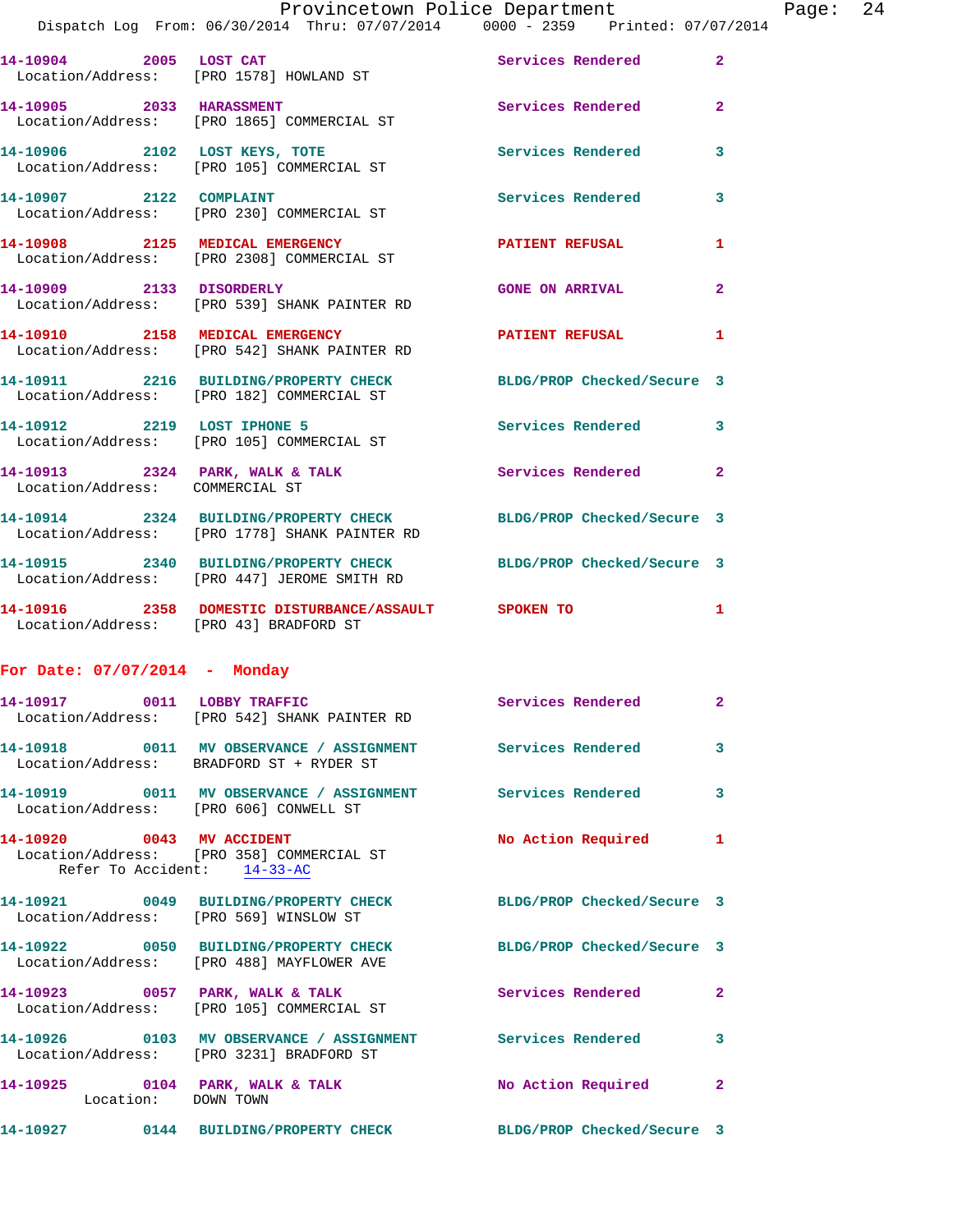|  |                                   | Provincetown Police Department  |  | Page: 24 |  |
|--|-----------------------------------|---------------------------------|--|----------|--|
|  | From: 06/30/2014 Thru: 07/07/2014 | 0000 - 2359 Printed: 07/07/2014 |  |          |  |

|                          | Dispatch Log From: 06/30/2014 Thru: 07/07/2014 0000 - 2359 Printed: 07/07/2014                                |                          |                |
|--------------------------|---------------------------------------------------------------------------------------------------------------|--------------------------|----------------|
|                          | 14-10904 2005 LOST CAT<br>Location/Address: [PRO 1578] HOWLAND ST                                             | <b>Services Rendered</b> | $\overline{2}$ |
| 14-10905 2033 HARASSMENT | Location/Address: [PRO 1865] COMMERCIAL ST                                                                    | <b>Services Rendered</b> | $\overline{2}$ |
|                          | 14-10906 2102 LOST KEYS, TOTE<br>Location/Address: [PRO 105] COMMERCIAL ST                                    | <b>Services Rendered</b> | 3              |
|                          | 14-10907 2122 COMPLAINT<br>Location/Address: [PRO 230] COMMERCIAL ST                                          | <b>Services Rendered</b> | 3              |
|                          | 14-10908 2125 MEDICAL EMERGENCY<br>Location/Address: [PRO 2308] COMMERCIAL ST                                 | <b>PATIENT REFUSAL</b>   | $\mathbf{1}$   |
|                          | 14-10909 2133 DISORDERLY<br>Location/Address: [PRO 539] SHANK PAINTER RD                                      | <b>GONE ON ARRIVAL</b>   | $\overline{2}$ |
|                          | 14-10910 2158 MEDICAL EMERGENCY<br>Location/Address: [PRO 542] SHANK PAINTER RD                               | <b>PATIENT REFUSAL</b>   | 1              |
|                          | 14-10911 2216 BUILDING/PROPERTY CHECK BLDG/PROP Checked/Secure 3<br>Location/Address: [PRO 182] COMMERCIAL ST |                          |                |
|                          | 14-10912 2219 LOST IPHONE 5<br>Location/Address: [PRO 105] COMMERCIAL ST                                      | <b>Services Rendered</b> | 3              |
|                          |                                                                                                               |                          |                |

14-10913 2324 PARK, WALK & TALK 2 Services Rendered 2 Location/Address: COMMERCIAL ST **14-10914 2324 BUILDING/PROPERTY CHECK BLDG/PROP Checked/Secure 3**  Location/Address: [PRO 1778] SHANK PAINTER RD **14-10915 2340 BUILDING/PROPERTY CHECK BLDG/PROP Checked/Secure 3**  Location/Address: [PRO 447] JEROME SMITH RD **14-10916 2358 DOMESTIC DISTURBANCE/ASSAULT SPOKEN TO 1** 

Location/Address: [PRO 43] BRADFORD ST

**For Date: 07/07/2014 - Monday**

|                                        | 14-10917 0011 LOBBY TRAFFIC<br>Location/Address: [PRO 542] SHANK PAINTER RD                                   | Services Rendered 2         |                         |
|----------------------------------------|---------------------------------------------------------------------------------------------------------------|-----------------------------|-------------------------|
|                                        | 14-10918 0011 MV OBSERVANCE / ASSIGNMENT Services Rendered<br>Location/Address: BRADFORD ST + RYDER ST        |                             | $\overline{\mathbf{3}}$ |
| Location/Address: [PRO 606] CONWELL ST |                                                                                                               |                             | $\overline{\mathbf{3}}$ |
| Refer To Accident: 14-33-AC            | Location/Address: [PRO 358] COMMERCIAL ST                                                                     |                             |                         |
| Location/Address: [PRO 569] WINSLOW ST | 14-10921 0049 BUILDING/PROPERTY CHECK BLDG/PROP Checked/Secure 3                                              |                             |                         |
|                                        | 14-10922 0050 BUILDING/PROPERTY CHECK BLDG/PROP Checked/Secure 3<br>Location/Address: [PRO 488] MAYFLOWER AVE |                             |                         |
|                                        | 14-10923 0057 PARK, WALK & TALK<br>Location/Address: [PRO 105] COMMERCIAL ST                                  | <b>Services Rendered 22</b> |                         |
|                                        | Location/Address: [PRO 3231] BRADFORD ST                                                                      |                             | $\overline{\mathbf{3}}$ |
| Location: DOWN TOWN                    | 14-10925 0104 PARK, WALK & TALK NO Action Required 2                                                          |                             |                         |
|                                        | 14-10927 0144 BUILDING/PROPERTY CHECK BLDG/PROP Checked/Secure 3                                              |                             |                         |